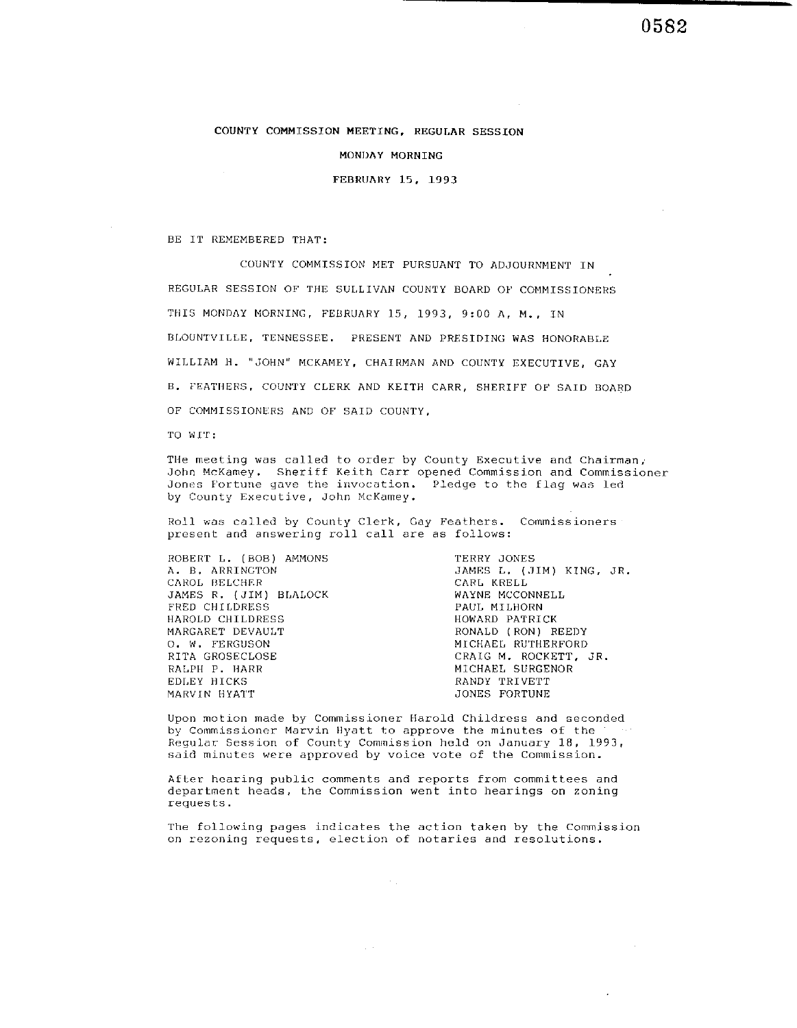#### COUNTY COMMISSION MEETING. REGULAR SESSION

MONDAY MORNING

FEBRllAllY 15. **1993** 

BE IT REMEMBERED THAT:

COUNTY COMMISSION MET PURSUANT TO ADJOURNMENT IN REGULAR SESSION OF THE SUI.LIVAN COUNTY BOARD OP COMMISSIONERS THIS MONDAY MORNING, FEBRUARY 15, 1993, 9:00 A, M., IN BLOUNTVILLE. TENNESSEE. PRESENT AND PRESIDING WAS HONORABLE WILLIAM H. "JOHN' MCKAMEY, CHAIRMAN AND COUNTY EXECUTIVE, GAY B. FEATWERS. COUNTY CLERK AND KEITH CARR, SHERIFF OF SAID BOARD OF COMMISSIONERS AND OF SAID COUNTY,

 $:11W$  OT

Tlle meeting was called to order by County Executive and Chairman, John McKamey. Sheriff Keith Carr opened Commission and Commissioner Jones Fortune gave the invocation. Pledge to thc flag was led by County Executive, John McKamey.

Roll was called by County Clerk, Gay Feathers. Commissioners present and answering roll call are as follows:

ROBERT L. (BOB) AMMONS A. B. ARRINCTON CAROL BELCHER JAMES R. (JIM) BLALOCK FRED CHILDRESS<br>HAROLD CHILDRESS MARGARET DEVAULT (RONALD (RON) REEDY<br>
O. W. FERGUSON (MICHAEL RUTHERFORD RITA GROSECLOSE (RUTHERFORD CRAIG M. ROCKETT, JR. RITA GROSECLOSE RALPH P. HARR EDLEY HICKS MARVIN HYATT

TERRY JONES JAMES L. (JIM) KING, JR. CARL KRELL WAYNE MCCONNELL PAUL MILHORN HOWARD PATRICK MICHAEL SURGENOR RANDY TRIVETT JONES FORTUNE

 $\alpha$ 

0582

Upon motion made by Commissioncr Harold Childress and seconded by Commissioner Marvin Myatt to approve the minutes of the Regular Session of County Commission held on January 18, 1993, said minutes were approved by voice vote of the Commission.

After hearing public comments and reports from committees and department heads, the Commission went into hearings on zoning requests.

 $\sim$  .

 $\Delta \sim 10^7$ 

The following pages indicates the action taken by the Commission on rezoning requests, election of notaries and resolutions.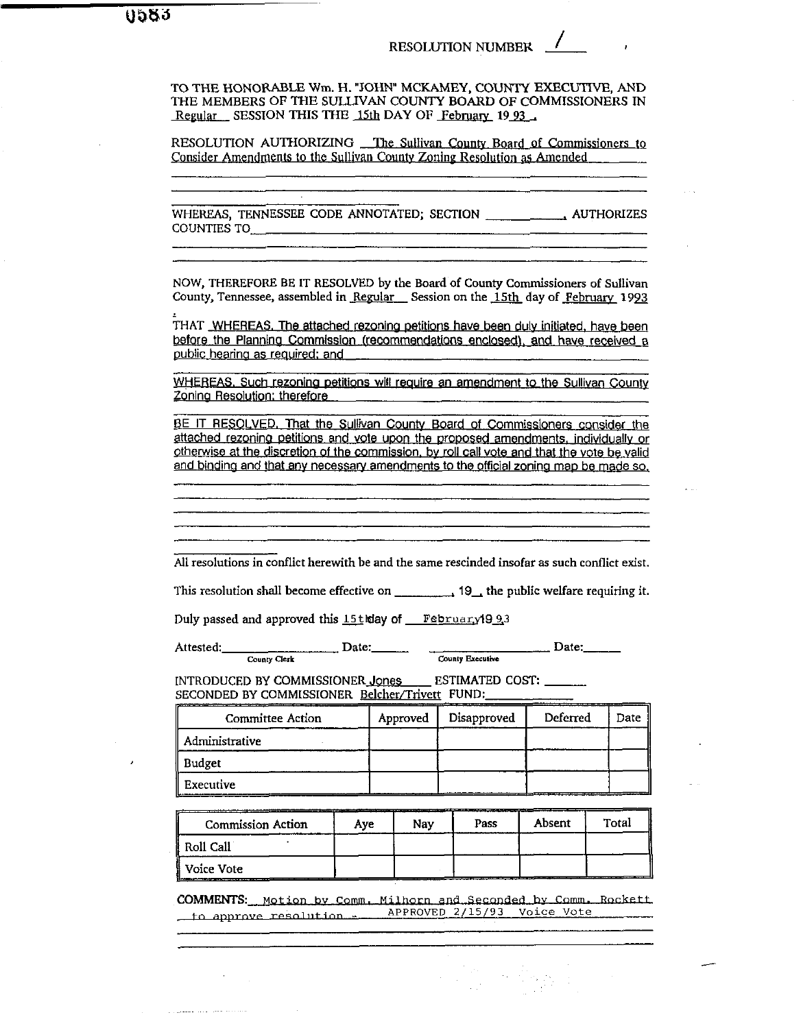TO THE HONORABLE Wm. H. "JOHN" MCKAMEY, COUNTY EXECUTIVE, AND THE MEMBERS OF THE SULLIVAN COUNTY BOARD OF COMMISSIONERS IN Regular SESSION THIS THE 15th DAY OF February 1993

RESOLUTION AUTHORIZING The Sullivan County Board of Commissioners to Consider Amendments to the Sullivan County Zoning Resolution as Amended

NOW, THEREFORE BE IT RESOLVED by the Board of County Commissioners of Sullivan County, Tennessee, assembled in Regular Session on the 15th day of February 1993

THAT WHEREAS. The attached rezoning petitions have been duly initiated, have been before the Planning Commission (recommendations enclosed), and have received a public hearing as required; and

WHEREAS, Such rezoning petitions will require an amendment to the Sullivan County Zoning Resolution; therefore

BE IT RESOLVED. That the Sullivan County Board of Commissioners consider the attached rezoning petitions and vote upon the proposed amendments, individually or otherwise at the discretion of the commission, by roll call vote and that the vote be valid and binding and that any necessary amendments to the official zoning map be made so.

All resolutions in conflict herewith be and the same rescinded insofar as such conflict exist.

Duly passed and approved this 15t way of February 1993

Attested: County Clerk

 $\Box$  Date: County Executive

INTRODUCED BY COMMISSIONER Jones ESTIMATED COST: SECONDED BY COMMISSIONER Belcher/Trivett FUND:

 $\Box$  Date:

| Committee Action | Approved | Disapproved | Deferred | Date 1 |
|------------------|----------|-------------|----------|--------|
| Administrative   |          |             |          |        |
| Budget           |          |             |          |        |
| Executive        |          |             |          |        |

| <b>Commission Action</b> | Ave | Nav | Pass | Absent | Total |
|--------------------------|-----|-----|------|--------|-------|
| Roll Call                |     |     |      |        |       |
| Voice Vote               |     |     |      |        |       |

COMMENTS: Motion by Comm. Milhorn and Seconded by Comm. Rockett to approve resolution - APPROVED 2/15/93 Voice Vote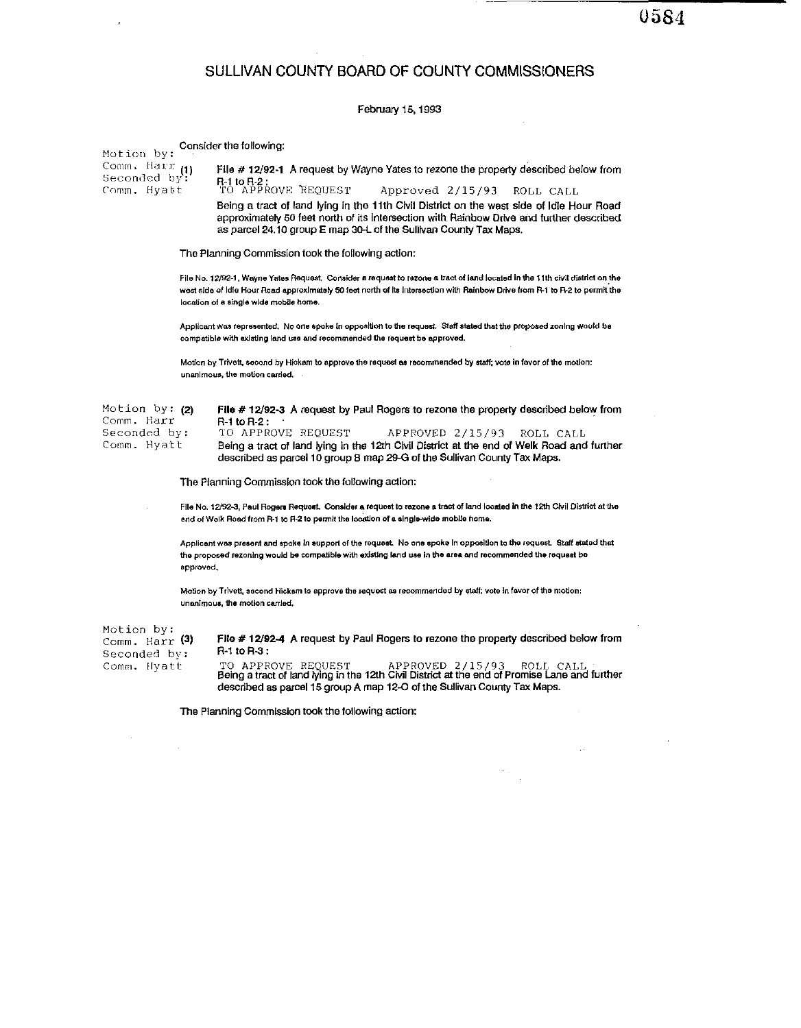$\hat{\boldsymbol{\theta}}$ 

## SULLIVAN COUNTY BOARD OF COUNTY COMMISSIONERS

 $\mathcal{A}^{\mathcal{A}}$ 

 $\overbrace{\hspace{25mm}}^{m}$ 

### February 15, 1993

| Motion by:                                   |           | Consider the following:                                                                                                                                                                                                                                                                                 |
|----------------------------------------------|-----------|---------------------------------------------------------------------------------------------------------------------------------------------------------------------------------------------------------------------------------------------------------------------------------------------------------|
| Comm, Harr<br>Seconded by:<br>Comm. Hyatt    | (1)       | File #12/92-1 A request by Wayne Yates to rezone the property described below from<br>R-1 to R-2 :<br>TO APPROVE REQUEST<br>Approved 2/15/93<br>ROLL CALL                                                                                                                                               |
|                                              |           | Being a tract of land lying in the 11th Civil District on the west side of Idle Hour Road<br>approximately 50 feet north of its intersection with Rainbow Drive and further described<br>as parcel 24.10 group E map 30-L of the Sullivan County Tax Maps.                                              |
|                                              |           | The Planning Commission took the following action:                                                                                                                                                                                                                                                      |
|                                              |           | File No. 12/92-1. Wayne Yates Request. Consider a request to rezone a tract of land located in the 11th civil district on the<br>west side of Idle Hour Road approximately 50 feet north of its intersection with Rainbow Drive from R-1 to R-2 to permit the<br>location of a single wide mobile home. |
|                                              |           | Applicant was represented. No one spoke in opposition to the request. Staff stated that the proposed zoning would be<br>compatible with existing land use and recommended the request be approved.                                                                                                      |
|                                              |           | Motion by Trivett, second by Hickam to approve the request as recommended by staff; vote in favor of the motion:<br>unanimous, the motion carried,                                                                                                                                                      |
| Motion by: (2)<br>Comm. Harr<br>Seconded bv: |           | File # 12/92-3 A request by Paul Rogers to rezone the property described below from<br>R-1 to R-2:<br>TO APPROVE REQUEST<br>APPROVED 2/15/93<br>ROLL CALL                                                                                                                                               |
| Comm. Hyatt                                  |           | Being a tract of land lying in the 12th Civil District at the end of Welk Road and further<br>described as parcel 10 group B map 29-G of the Sullivan County Tax Maps.                                                                                                                                  |
|                                              |           | The Planning Commission took the following action:                                                                                                                                                                                                                                                      |
|                                              |           | File No. 12/92-3, Paul Rogers Request. Consider a request to rezone a tract of land located in the 12th Civil District at the<br>end of Welk Road from R-1 to R-2 to permit the location of a single-wide mobile home.                                                                                  |
|                                              | approved, | Applicant was present and spoke in support of the request. No one spoke in opposition to the request. Staff stated that<br>the proposed rezoning would be compatible with existing land use in the area and recommended the request be                                                                  |
|                                              |           | Motion by Trivett, second Hickam to approve the request as recommended by staff; vote in favor of the motion;<br>unanimous, the motion carried.                                                                                                                                                         |
| Motion by:<br>Comm. Harr (3)<br>Seconded by: |           | File #12/92-4 A request by Paul Rogers to rezone the property described below from<br>R-1 to R-3:                                                                                                                                                                                                       |
| Comm. Hyatt                                  |           | TO APPROVE REQUEST<br>APPROVED 2/15/93<br>ROLL CALL<br>Being a tract of land lying in the 12th Civil District at the end of Promise Lane and further<br>described as parcel 15 group A map 12-O of the Sullivan County Tax Maps.                                                                        |
|                                              |           | The Planning Commission took the following action:                                                                                                                                                                                                                                                      |
|                                              |           |                                                                                                                                                                                                                                                                                                         |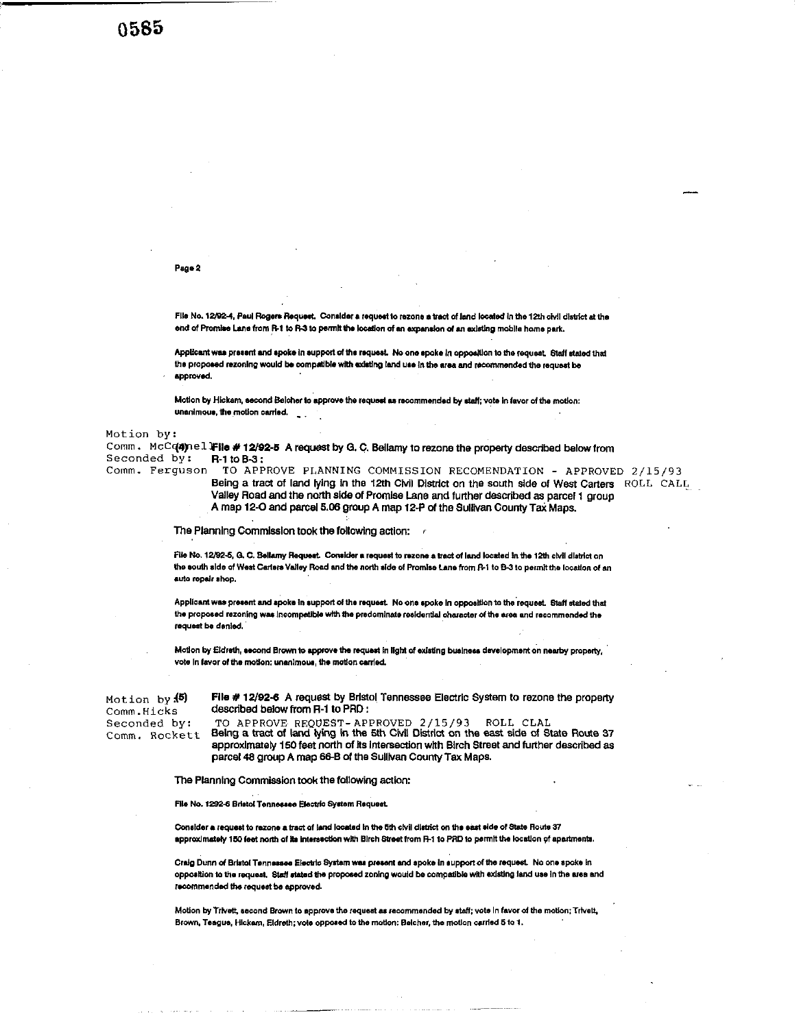**0585** 

#### Page 2

File No. 12/92-4, Paul Rogers Request. Consider a request to rezone a tract of land located in the 12th civil district at the end of Promise Lane from R-1 to R-3 to permit the location of an expansion of an existing mobile home park.

Applicant was present and spoke in support of the request. No one spoke in opposition to the request. Staff stated that the proposed rezoning would be compatible with existing land use in the area and recommended the request be approved.

Motion by Hickam, second Beicher to approve the request as recommended by staff; vote in favor of the motion: unanimous, the motion carried.

Motion by:

Comm. McCqanel File #12/92-5 A request by G.C. Bellamy to rezone the property described below from Seconded by: R-1 to B-3:

Comm. Ferquson TO APPROVE PLANNING COMMISSION RECOMENDATION - APPROVED 2/15/93

Being a tract of land lying in the 12th Civil District on the south side of West Carters ROLL CALL Valley Road and the north side of Promise Lane and further described as parcel 1 group A map 12-O and parcel 5.06 group A map 12-P of the Sullivan County Tax Maps.

The Planning Commission took the following action: /

File No. 12/92-6, G. C. Bellamy Request. Consider a request to rezone a tract of land located in the 12th civil district on the south side of West Carters Valley Road and the north side of Promise Lane from R-1 to B-3 to permit the location of an auto repair shop.

Applicant was present and spoke in support of the request. No one spoke in opposition to the request. Staff stated that the proposed rezoning was incompatible with the predominate residential character of the area and recommended the request be denied.

Motion by Eldreth, second Brown to approve the request in light of existing business development on nearby property, vote in favor of the motion; unanimous, the motion carried.

Motion by (5) Comm.Hicks Seconded by: Comm. Rockett File # 12/92-6 A request by Bristol Tennessee Electric System to rezone the property described below from R-1 to PRD :

TO APPROVE REQUEST-APPROVED 2/15/93 ROLL CLAL<br>Being a tract of land lying in the 5th Civil District on the east side of State Route 37 approximately 150 feet north of its intersection with Birch Street and further described as parcel 48 group A map 66-B of the Sullivan County Tax Maps.

The Planning Commission took the following action:

File No. 1292-6 Bristol Tennessee Electric System Request.

Consider a request to rezone a tract of land located in the 5th civil district on the east side of State Route 37 approximately 150 feet north of its intersection with Birch Street from R-1 to PRD to permit the location of apartments.

Craig Dunn of Bristol Tennessee Electric System was present and spoke in support of the request. No one spoke in opposition to the request. Staff stated the proposed zoning would be compatible with existing land use in the area and recommended the request be approved.

Motion by Trivett, second Brown to approve the request as recommended by staff; vote in favor of the motion; Trivett, Brown, Teague, Hickem, Eldreth; vote opposed to the motion: Belcher, the motion carried 5 to 1.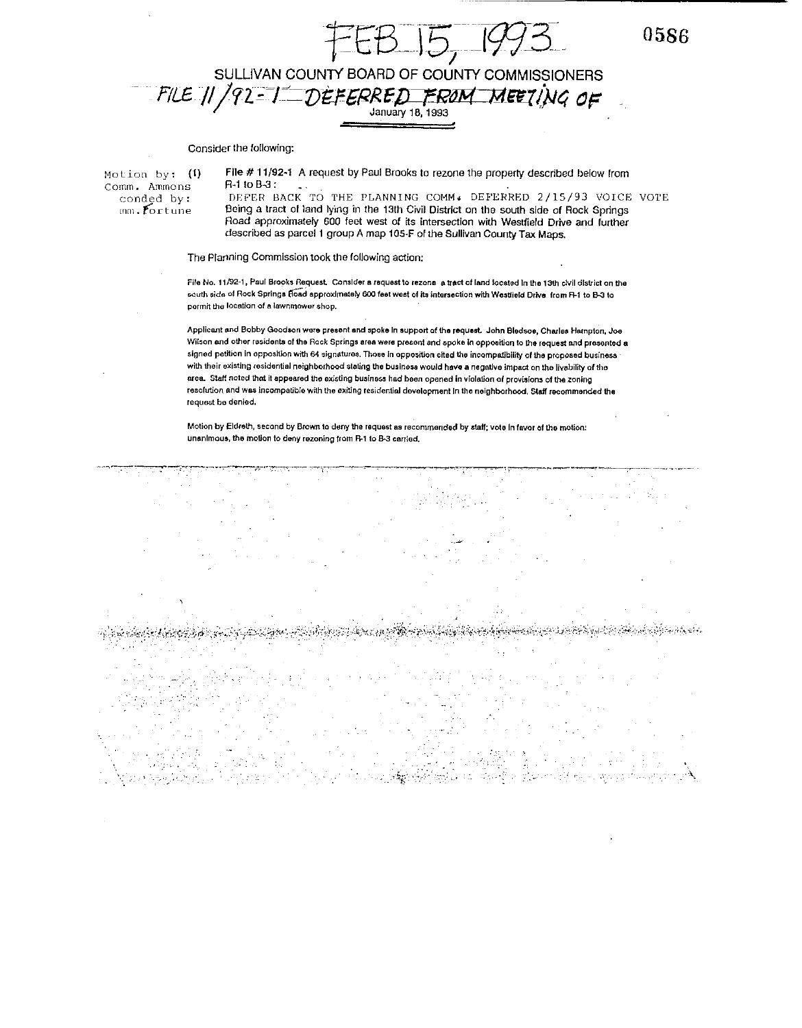$5 -$ 

0586

# SULLIVAN COUNTY BOARD OF COUNTY COMMISSIONERS<br>FILE 11 / 92 = 1 DÈFERRED FROM MEETING OF

#### Consider the following:

Motion by:  $(1)$ Comm. Ammons conded by:  $mn.$  fortune

File # 11/92-1 A request by Paul Brooks to rezone the property described below from R-1 to B-3 :

DEFER BACK TO THE PLANNING COMM. DEFERRED 2/15/93 VOICE VOTE Being a tract of land lying in the 13th Civil District on the south side of Rock Springs Road approximately 600 feet west of its intersection with Westfield Drive and further described as parcel 1 group A map 105-F of the Sullivan County Tax Maps.

#### The Planning Commission took the following action;

File No. 11/92-1, Paul Brooks Request. Consider a request to rezone a tract of land located in the 13th civil district on the south side of Rock Springs Hoad approximately 600 feet west of its intersection with Westfield Drive from R-1 to B-3 to permit the location of a lawnmower shop.

Applicant and Bobby Goodson were present and spoke in support of the request. John Bledsoe, Charles Hampton, Joe Wilson and other residents of the Rock Springs area were present and spoke in opposition to the request and presented a signed petition in opposition with 64 signatures. Those in opposition cited the incompatibility of the proposed business with their existing residential neighborhood stating the business would have a negative impact on the livability of the area. Staff noted that it appeared the existing business had been opened in violation of provisions of the zoning resolution and was incompatible with the exiting residential development in the neighborhood. Staff recommended the request be denied.

Motion by Eldreth, second by Brown to deny the request as recommended by staff; vote in favor of the motion: unanimous, the motion to deny rezoning from R-1 to B-3 carried.

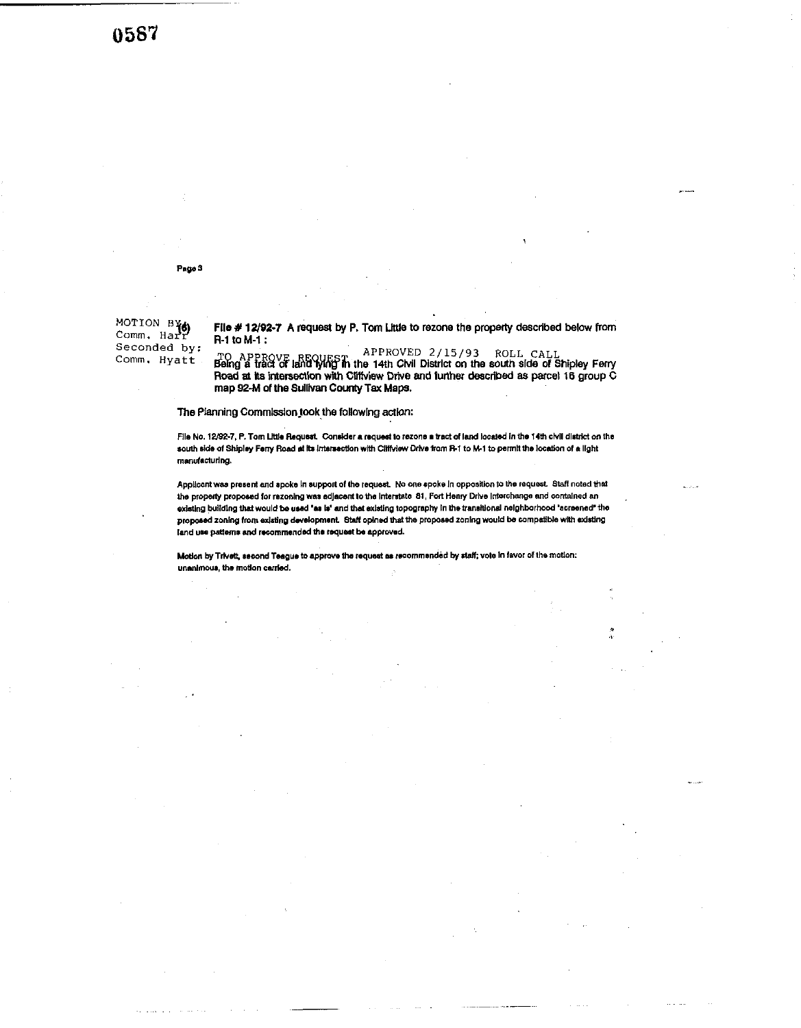0587

Page 3

MOTION BY Seconded by: Comm. Hyatt

File # 12/92-7 A request by P. Tom Little to rezone the property described below from R-1 to M-1:

TO APPROVE REQUEST APPROVED  $2/15/93$  ROLL CALL<br>Being a tract of land lying in the 14th Civil District on the south side of Shipley Ferry<br>Road at its intersection with Cilifview Drive and further described as parcel 16 gr map 92-M of the Sullivan County Tax Maps.

The Planning Commission took the following action:

File No. 12/92-7, P. Tom Little Request. Consider a request to rezone a tract of land located in the 14th civil district on the south side of Shipley Ferry Road at its intersection with Cliffylew Drive from R-1 to M-1 to permit the location of a light manufacturing.

Applicant was present and spoke in support of the request. No one spoke in opposition to the request. Staff noted that the property proposed for rezoning was adjacent to the interstate 81, Fort Henry Drive interchange and contained an existing building that would be used "as is" and that existing topography in the transitional neighborhood "acreened" the proposed zoning from existing development. Staff opined that the proposed zoning would be compatible with existing land use patterns and recommended the request be approved.

Motion by Trivett, second Teague to approve the request as recommended by staff; vote in favor of the motion: unanimous, the motion carried.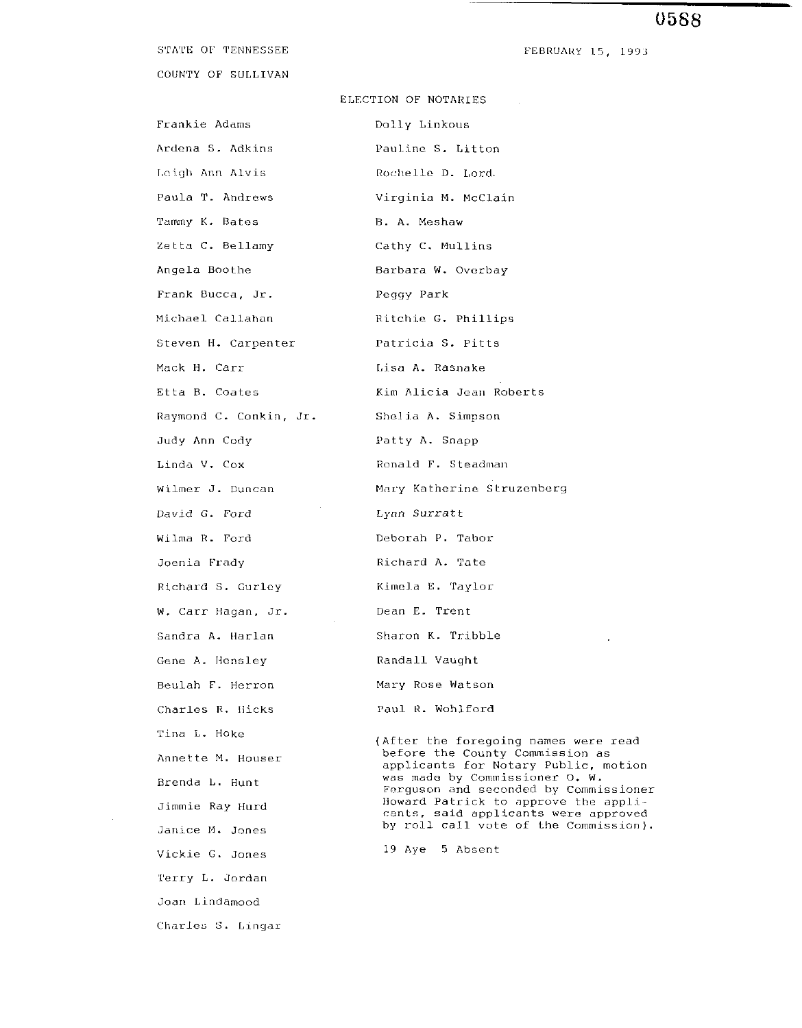#### STATE OF TENNESSEE

COUNTY OF SULLIVAN

Frankie Adams Manuel Dolly Linkous **Leigh Ann Alvis Rochelle D. Lord.** Tammy K. Bates B. A. Meshaw Zetta C. Bellamy C. Cathy C. Mullins Frank Bucca, Jr. Peggy Park Mack H. Carr 1,isa A. Rasnake Judy Ann Cody **Patty A. Snapp** David G. Ford Wilma R. Ford Joenia Frady Richard S. Curlcy W. Carr Hagan, Jr. Sandra A. Harlan Gene A. Hensley Beulah F. Herron Charles R. Hicks Tina L. Hoke Annette M. Houser Brenda **1,.** Hunt Jimmie Ray tlurd Janice M. Jones Vickie G. Jones l'erry L. Jordan Joan Lindamood Charles *S.* Lingar

FEBRUARY 15. 1993

#### ELECTION OF NOTARIES

Ardena S. Adkins Pauline S. Litton Paula T. Andrews **Virginia M. McClain** Angela Boothe Barbara W. Overbay Michael Callahan Ritchie G. Phillips Steven H. Carpenter **Patricia S. Pitts** Etta B. Coates (Kim Alicia Jean Roberts) Raymond C. Conkin, Jr. Shelia A. Simpson Linda V. Cox Ronald F. Steadman Wilmer J. Duncan Mary Katherine Struzenberg Lynn Surratt Deborah P. Tabor Richard A. Tate Kimela E. Taylor Dean E. Trent Sharon K. Tribble Randall Vaught Mary Rose Watson Paul K. Wohlford (After the foregoing names were read before the County Commission as applicants for Notary Public, motion was made by Commissioner 0. W. Fcrguson and seconded by Commissioner Howard Patrick to approve the applicants, said applicants were approved by roll call vote of the Commission).

19 Aye 5 Absent

# 0588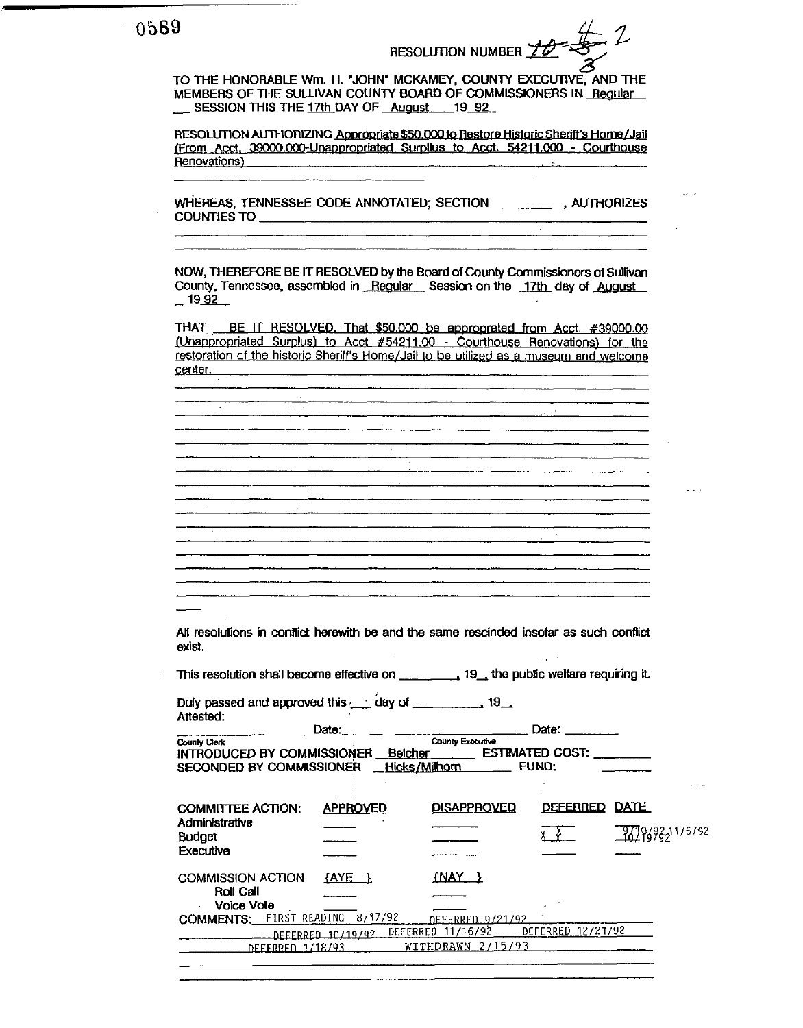TO THE HONORABLE Wm. H. "JOHN" MCKAMEY, COUNTY EXECUTIVE, AND THE MEMBERS OF THE SULLIVAN COUNTY BOARD OF COMMISSIONERS IN Regular \_\_ SESSION THIS THE 17th DAY OF August 19 92

RESOLUTION AUTHORIZING Appropriate \$50,000 to Restore Historic Sheriff's Home/Jail (From Acct. 39000.000-Unappropriated Surpllus to Acct. 54211.000 - Courthouse Renovations)<br>
<u>Renovations</u>

 $\sim$ 

NOW, THEREFORE BE IT RESOLVED by the Board of County Commissioners of Sullivan County, Tennessee, assembled in Regular Session on the 17th day of August  $-19.92$ 

THAT BE IT RESOLVED. That \$50,000 be approprated from Acct. #39000.00 (Unappropriated Surplus) to Acct #54211.00 - Courthouse Renovations) for the restoration of the historic Sheriff's Home/Jail to be utilized as a museum and welcome center.

**Contractor** 

All resolutions in conflict herewith be and the same rescinded insofar as such conflict exist.

Duly passed and approved this and day of manuscript 19. Attested: Date:

**Committee Committee** 

| County Clerk                    |                   | County Executive     |                        |                 |
|---------------------------------|-------------------|----------------------|------------------------|-----------------|
| INTRODUCED BY COMMISSIONER      |                   | Belcher              | <b>ESTIMATED COST:</b> |                 |
| <b>SECONDED BY COMMISSIONER</b> |                   | <u>Hicks/Milhorn</u> | <b>FUND:</b>           |                 |
|                                 |                   |                      |                        |                 |
| <b>COMMITTEE ACTION:</b>        | <b>APPROVED</b>   | <b>DISAPPROVED</b>   | <b>DEFERRED</b>        | <b>DATE</b>     |
| Administrative                  |                   |                      |                        | 3478493211/5/92 |
| <b>Budget</b>                   |                   |                      |                        |                 |
| Executive                       |                   |                      |                        |                 |
| <b>COMMISSION ACTION</b>        | $AXE$ )           | $\{NAY$ }            |                        |                 |
| <b>Roll Call</b><br>Voice Vote  |                   |                      |                        |                 |
| COMMENTS: FIRST READING 8/17/92 |                   | JEFFRRFN 9/21/92     |                        |                 |
|                                 | DEFERRED 10/19/92 | 11/16/92<br>DEFERRED | DEFERRED 12/21/92      |                 |
| <b>DEFFRRED 1/18/93</b>         |                   | WITHDRAWN 2/15/93    |                        |                 |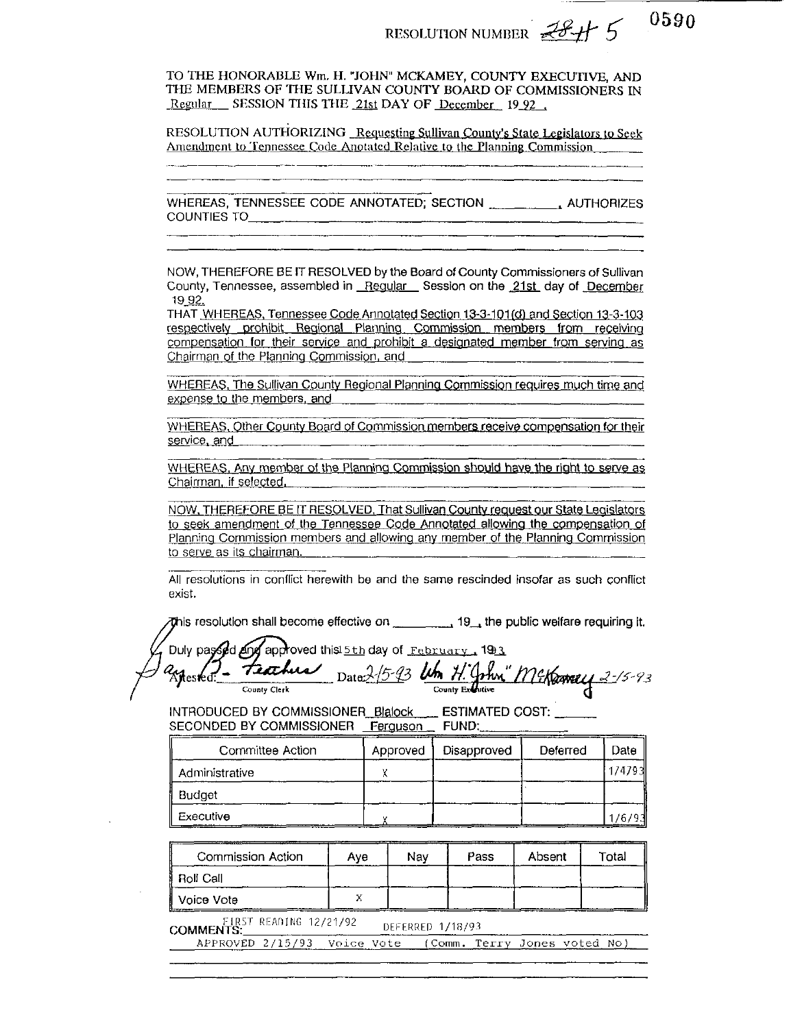RESOLUTION NUMBER  $78 + 5$ 

TO THE HONORABLE Wm, H. "JOHN" MCKAMEY, COUNTY EXECUTIVE, AND THE MEMBERS OF THE SULLIVAN COUNTY BOARD OF COMMISSIONERS IN Regular SESSION THIS THE 21st DAY OF December 19 92.

RESOLUTION AUTHORIZING Requesting Sullivan County's State Legislators to Seek Amendment to Tennessee Code Anotated Relative to the Planning Commission

WHEREAS, TENNESSEE CODE ANNOTATED; SECTION \_\_\_\_\_\_\_\_\_\_\_\_\_\_\_\_ AUTHORIZES **COUNTIES TO** 

NOW, THEREFORE BE IT RESOLVED by the Board of County Commissioners of Sullivan County, Tennessee, assembled in Regular Session on the 21st day of December 19 92.

THAT WHEREAS, Tennessee Code Annotated Section 13-3-101(d) and Section 13-3-103 respectively prohibit Regional Planning Commission members from receiving compensation for their service and prohibit a designated member from serving as Chairman of the Planning Commission, and

WHEREAS, The Sullivan County Regional Planning Commission reguires much time and expense to the members, and

WHEREAS, Other County Board of Commission members receive compensation for their service, and

WHEREAS, Any member of the Planning Commission should have the right to serve as Chairman, if selected,

NOW, THEREFORE BE IT RESOLVED. That Sullivan County request our State Legislators to seek amendment of the Tennessee Code Annotated allowing the compensation of Planning Commission members and allowing any member of the Planning Commission to serve as its chairman.

All resolutions in conflict herewith be and the same rescinded insofar as such conflict exist.

This resolution shall become effective on  $\frac{1}{2}$ , the public welfare requiring it.

Duly passed and approved this 5th day of February 1993 Date 2/5-93 Um H. John" Mercaney 2-15-93 Tiorhus Aires ed: County Clerk

\_\_ ESTIMATED COST: \_\_\_ INTRODUCED BY COMMISSIONER\_Blalock SECONDED BY COMMISSIONER Ferguson FUND:

| Committee Action | Approved | Disapproved | Deferred | Date   |
|------------------|----------|-------------|----------|--------|
| Administrative   |          |             |          | 174793 |
| Budget           |          |             |          |        |
| Executive        |          |             |          | 176    |

| Commission Action     | Ave | Nav | Pass | Absent | Total |
|-----------------------|-----|-----|------|--------|-------|
| Roll Call             |     |     |      |        |       |
| Voice Vote<br>_______ |     |     |      |        |       |

EIRST READING 12/21/92 DEFERRED 1/18/93

APPROVED 2/15/93 Voice Vote (Comm. Terry Jones voted No)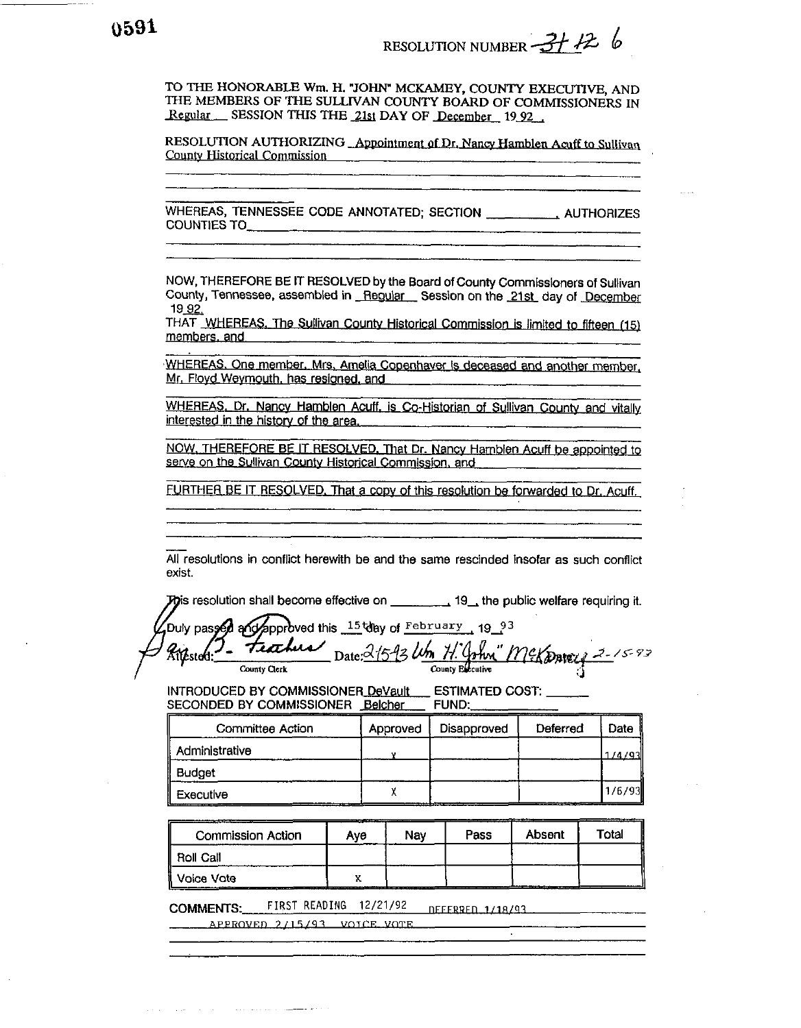RESOLUTION NUMBER  $-37$  2

TO THE HONORABLE Wm. H. "JOHN" MCKAMEY, COUNTY EXECUTIVE, AND THE MEMBERS OF THE SULLIVAN COUNTY BOARD OF COMMISSIONERS IN Regular SESSION THIS THE 21st DAY OF December 1992

RESOLUTION AUTHORIZING Appointment of Dr. Nancy Hamblen Acuff to Sullivan **County Historical Commission** 

WHEREAS, TENNESSEE CODE ANNOTATED; SECTION \_\_\_\_\_\_\_\_, AUTHORIZES **COUNTIES TO** 

NOW, THEREFORE BE IT RESOLVED by the Board of County Commissioners of Sullivan County, Tennessee, assembled in Regular Session on the 21st day of December 19 92.

THAT WHEREAS. The Sullivan County Historical Commission is limited to fifteen (15) members, and

WHEREAS. One member, Mrs. Amelia Copenhaver is deceased and another member, Mr. Floyd Weymouth, has resigned, and

WHEREAS, Dr. Nancy Hamblen Acuff, is Co-Historian of Sullivan County and vitally interested in the history of the area.

NOW, THEREFORE BE IT RESOLVED. That Dr. Nancy Hamblen Acuff be appointed to serve on the Sullivan County Historical Commission, and

FURTHER BE IT RESOLVED. That a copy of this resolution be forwarded to Dr. Acuff.

All resolutions in conflict herewith be and the same rescinded insofar as such conflict exist.

**Po**is resolution shall become effective on  $\frac{1}{1}$ , 19, the public welfare requiring it.

approved this  $15$  day of February 19  $93$ Duly passed and Date: 315-93 Um H' John McKontey 2-15-93 tiahu

County Clerk

INTRODUCED BY COMMISSIONER DeVault ESTIMATED COST: \_\_\_\_ SECONDED BY COMMISSIONER Belcher **FUND:** 

| Committee Action | Approved | Disapproved | Deferred | Date    |
|------------------|----------|-------------|----------|---------|
| Administrative   |          |             |          | 1/4/931 |
| Budget           |          |             |          |         |
| Executive        |          |             |          | 1/6/93  |

Pass Absent Total Commission Action Nay Aye Roll Call Voice Vote  $\mathbf{x}$ 

FIRST READING 12/21/92 **COMMENTS:** DEFERRED 1/18/93

APPROVED 2/15/93 VOICE VOTE

the company of the company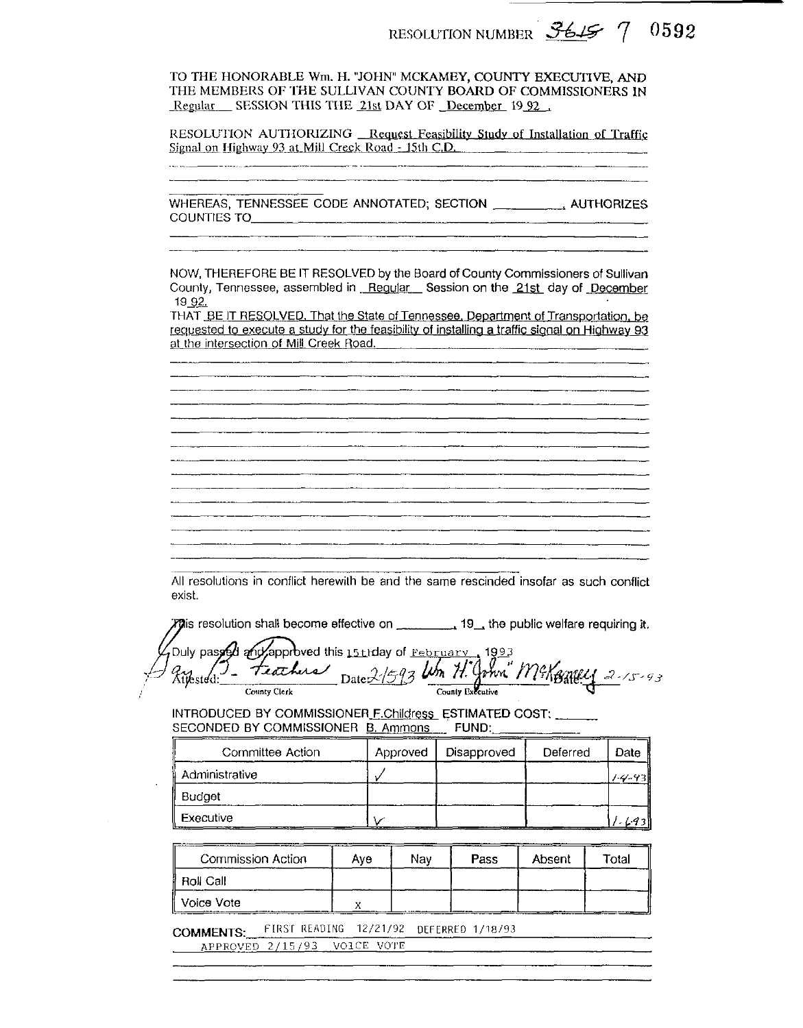RESOLUTION NUMBER 3615 7 0592

TO THE HONORABLE Wm. H. "JOHN" MCKAMEY, COUNTY EXECUTIVE, AND THE MEMBERS OF THE SULLIVAN COUNTY BOARD OF COMMISSIONERS IN Regular SESSION THIS THE 21st DAY OF December 19 92

RESOLUTION AUTHORIZING Request Feasibility Study of Installation of Traffic Signal on Highway 93 at Mill Creek Road - 15th C.D.

WHEREAS, TENNESSEE CODE ANNOTATED; SECTION \_\_\_\_\_\_\_\_\_\_\_\_\_\_\_ AUTHORIZES **COUNTIES TO** NOW, THEREFORE BE IT RESOLVED by the Board of County Commissioners of Sullivan County, Tennessee, assembled in Regular Session on the 21st day of December 19 92. THAT BE IT RESOLVED. That the State of Tennessee. Department of Transportation, be requested to execute a study for the feasibility of installing a traffic signal on Highway 93 at the intersection of Mill Creek Road. All resolutions in conflict herewith be and the same rescinded insofar as such conflict exist. Duly passed and approved this 15th day of February 1993 Date 2/593 Wm H. John" McKoney 2-15-93 teachers Zy<br>Aijested:\_ County Executive County Clerk INTRODUCED BY COMMISSIONER F.Childress ESTIMATED COST: SECONDED BY COMMISSIONER B. Ammons FUND: Approved Disapproved Date Committee Action Deferred  $\checkmark$ Administrative  $1 - 4 - 93$ Budget Executive  $1.693$ V

| Commission Action | Ave | Nav | Pass | Absent | Total |
|-------------------|-----|-----|------|--------|-------|
| Roll Call         |     |     |      |        |       |
| Voice Vote        |     |     |      | _____  |       |

FIRST READING 12/21/92 DEFERRED 1/18/93 **COMMENTS:** 

APPROVED 2/15/93 VOICE VOTE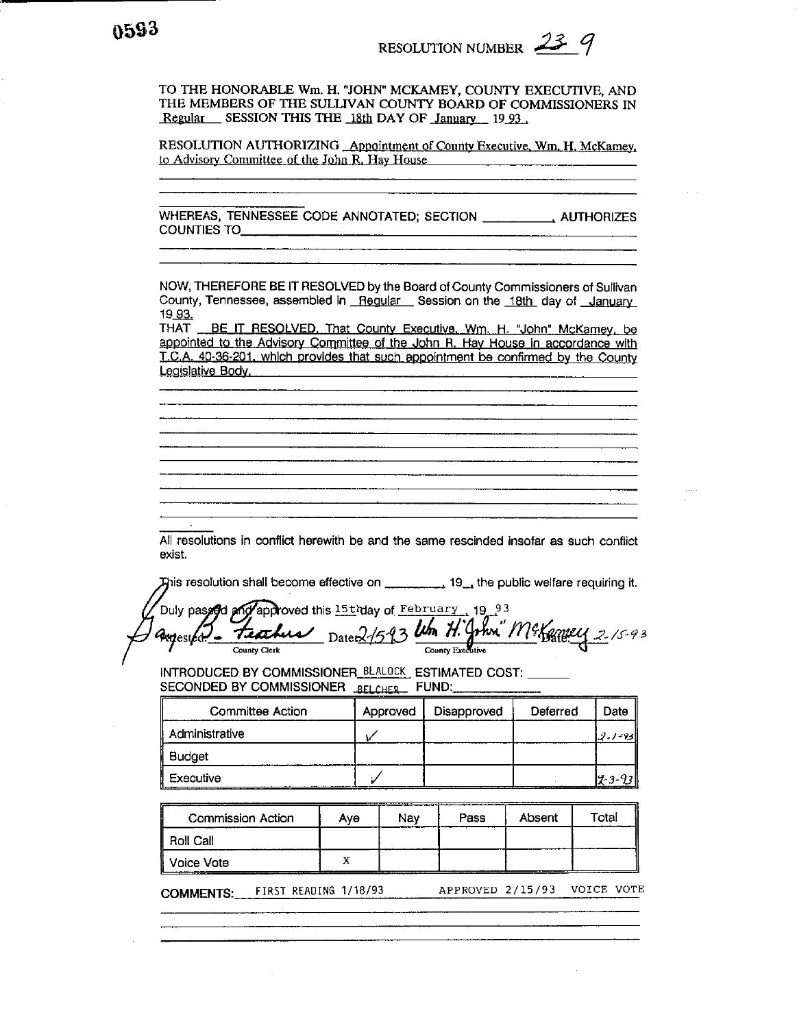TO THE HONORABLE **Wm. H.** "JOHN" MCKAMEY, COUNTY EXECUTIVE, AND **THE** MEMBERS OF THE SULLIVAN COllNTY BOARD OF COMMISSIONERS IN *Regular* SESSION THIS THE 18th DAY OF January 19.93

RESOLUTION AUTHORIZING Appointment **of** County Executive. **Wm.** H, McKamey, to **Advisor).** Committee of the John R. Hav House

WHEREAS, TENNESSEE CODE ANNOTATED; SECTION , AUTHORIZES COUNTIES TO

NOW, THEREFORE BE IT RESOLVED by the Board of County Commissioners of Sullivan County, Tennessee, assembled in Regular Session on the 18th day of January 19 - 93.

THAT BE IT RESOLVED. That County Executive. Wm. H. "John" McKamey, be appointed to the Advisory Committee of the John R. Hay House in accordance with T.C.A. 40-36-201. which provides that such appointment be confirmed by the County Legislative Body.

All resolutions in conflict herewith be and the same rescinded insofar as such conflict exist.

This resolution shall become effective on **the subset of the public welfare requiring it.** 

Duly passed and approved this 15thday of February 19.93 Date 2/5-93 Um H. John" M& Capey 215-93 assessfort teachers **County Clerk**  County Executive

INTRODUCED BY COMMISSIONER\_BLALOCK\_ESTIMATED COST: SECONDED BY COMMISSIONER BELCHER FUND:

| Committee Action | Approved | Disapproved | Deferred | Date  |
|------------------|----------|-------------|----------|-------|
| Administrative   |          |             |          | - 731 |
| <b>Budget</b>    |          |             |          |       |
| Executive        |          |             |          |       |

| Commission Action | Ave | Nav | Pass | Absent | Total |
|-------------------|-----|-----|------|--------|-------|
| <b>Roll Call</b>  |     |     |      |        |       |
| Il Voice Vote:    |     |     | .    |        |       |

COMMENTS: FIRST READING 1/18/93 APPROVED 2/15/93 VOICE VOTE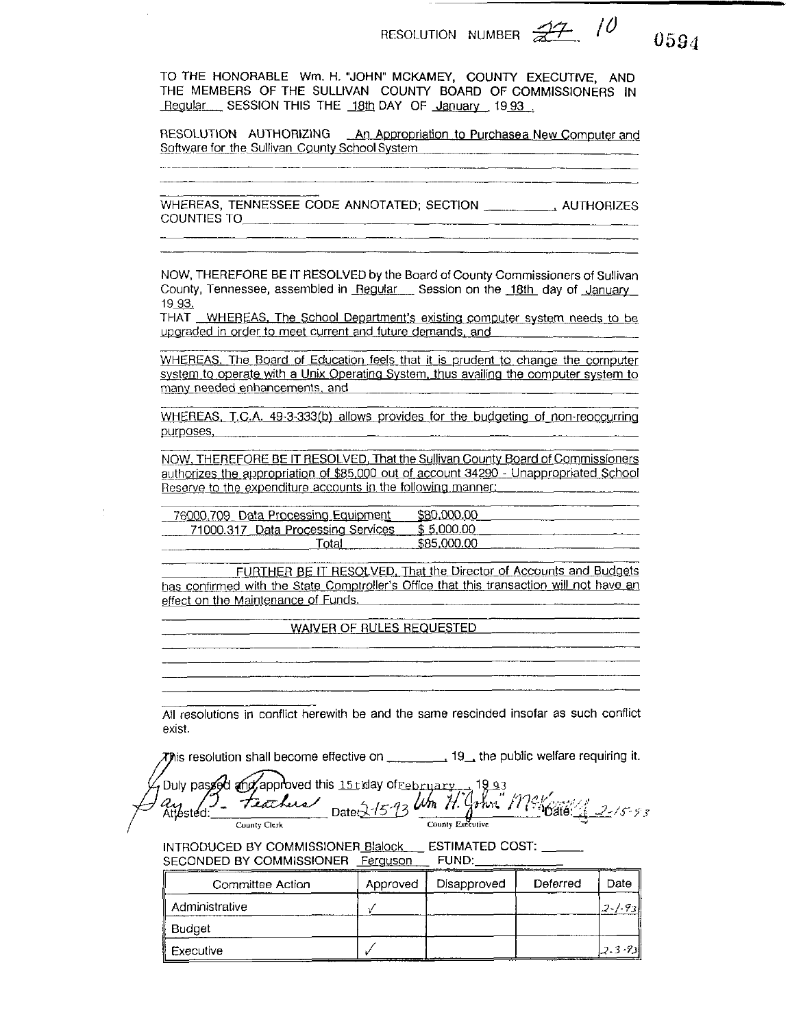$10$ 

0594

TO THE HONORABLE Wm. H. "JOHN" MCKAMEY, COUNTY EXECUTIVE, AND THE MEMBERS OF THE SULLIVAN COUNTY BOARD OF COMMISSIONERS IN Regular SESSION THIS THE 18th DAY OF January 1993.

RESOLUTION AUTHORIZING An Appropriation to Purchasea New Computer and Software for the Sullivan County School System **Subset Contains the Sullivan County School System** 

<u> 1989 - John Hermann Hermann, f</u>

WHEREAS, TENNESSEE CODE ANNOTATED; SECTION , AUTHORIZES 

NOW, THEREFORE BE IT RESOLVED by the Board of County Commissioners of Sullivan County, Tennessee, assembled in Regular Session on the 18th day of January 19 93.

THAT WHEREAS, The School Department's existing computer system needs to be upgraded in order to meet current and future demands, and

WHEREAS. The Board of Education feels that it is prudent to change the computer system to operate with a Unix Operating System, thus availing the computer system to many needed enhancements, and

WHEREAS, T.C.A. 49-3-333(b) allows provides for the budgeting of non-reoccurring purposes, \_\_\_\_\_

NOW, THEREFORE BE IT RESOLVED, That the Sullivan County Board of Commissioners authorizes the appropriation of \$85,000 out of account 34290 - Unappropriated School Reserve to the expenditure accounts in the following manner:

| 76000.709 Data Processing Equipment | חח רחר      | ------- |
|-------------------------------------|-------------|---------|
| 71000.317 Data Processing Services  | A 5 DOO OO  |         |
| "ota                                | .S85.000.00 |         |

FURTHER BE IT RESOLVED. That the Director of Accounts and Budgets has confirmed with the State Comptroller's Office that this transaction will not have an effect on the Maintenance of Funds.

WAIVER OF RULES REQUESTED

All resolutions in conflict herewith be and the same rescinded insofar as such conflict exist.

This resolution shall become effective on \_\_\_\_\_\_\_\_\_\_\_\_19\_, the public welfare requiring it.

Duly passed and approved this 15t day of reprinting 1993<br>aug 2007 - Feathers Date 21593 Um 71. John 1794 Gate Attested: County Executive County Clerk

INTRODUCED BY COMMISSIONER Blalock ESTIMATED COST: SECONDED BY COMMISSIONER Ferguson FUND:

| Committee Action | Approved | Disapproved | Deferred | ------<br>Date |
|------------------|----------|-------------|----------|----------------|
| Administrative   |          |             |          | 12-1-931       |
| Budget           |          |             |          |                |
| Executive        |          |             |          | 2.3-93         |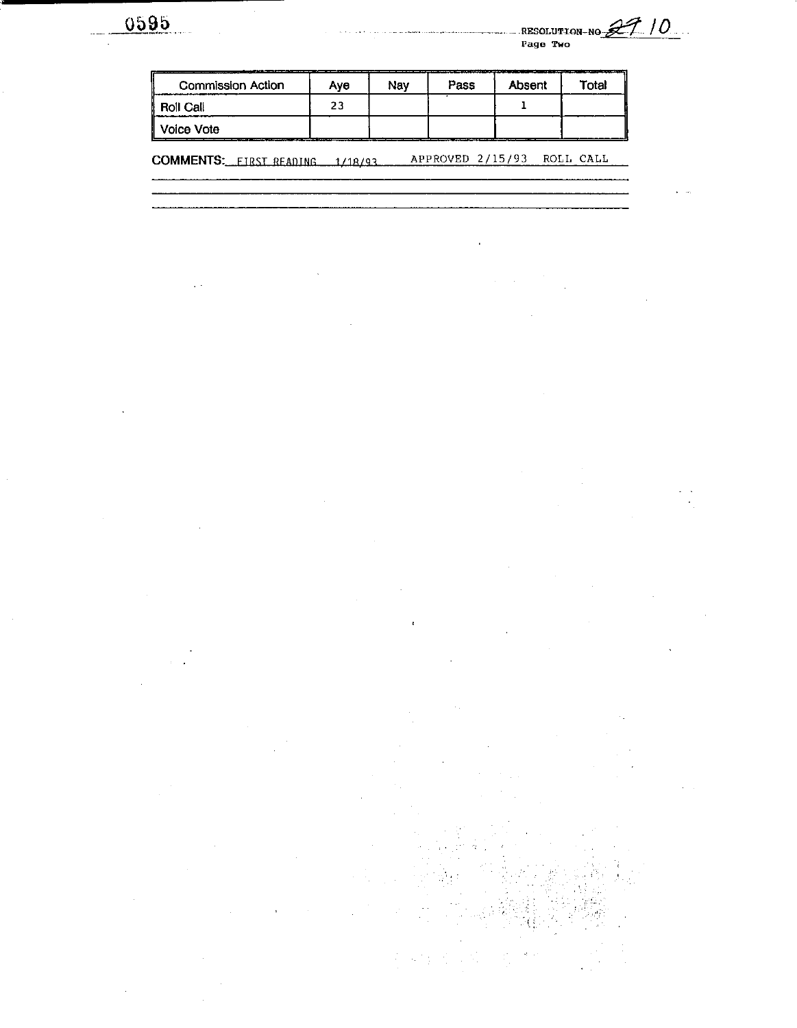0595

 $\bar{\psi}$  :

 $\ddot{\phantom{0}}$ 

 $\bar{z}$ 

÷.

l,

 $\overline{a}$ 

**Page Two RESOLUTION-NO** 

 $\ddot{\phantom{a}}$ 

| <b>Commission Action</b>                                            | Ave | Nay | Pass | Absent | Total |  |  |
|---------------------------------------------------------------------|-----|-----|------|--------|-------|--|--|
| <b>Roll Call</b>                                                    | 23  |     |      |        |       |  |  |
| Voice Vote                                                          |     |     |      |        |       |  |  |
| APPROVED 2/15/93<br>ROLL CALL<br>COMMENTS: FIRST READING<br>1/18/93 |     |     |      |        |       |  |  |
|                                                                     |     |     |      |        |       |  |  |

 $\bar{z}$ 

 $\bar{t}$ 

 $\ddot{\phantom{a}}$ 

÷.

 $\overline{a}$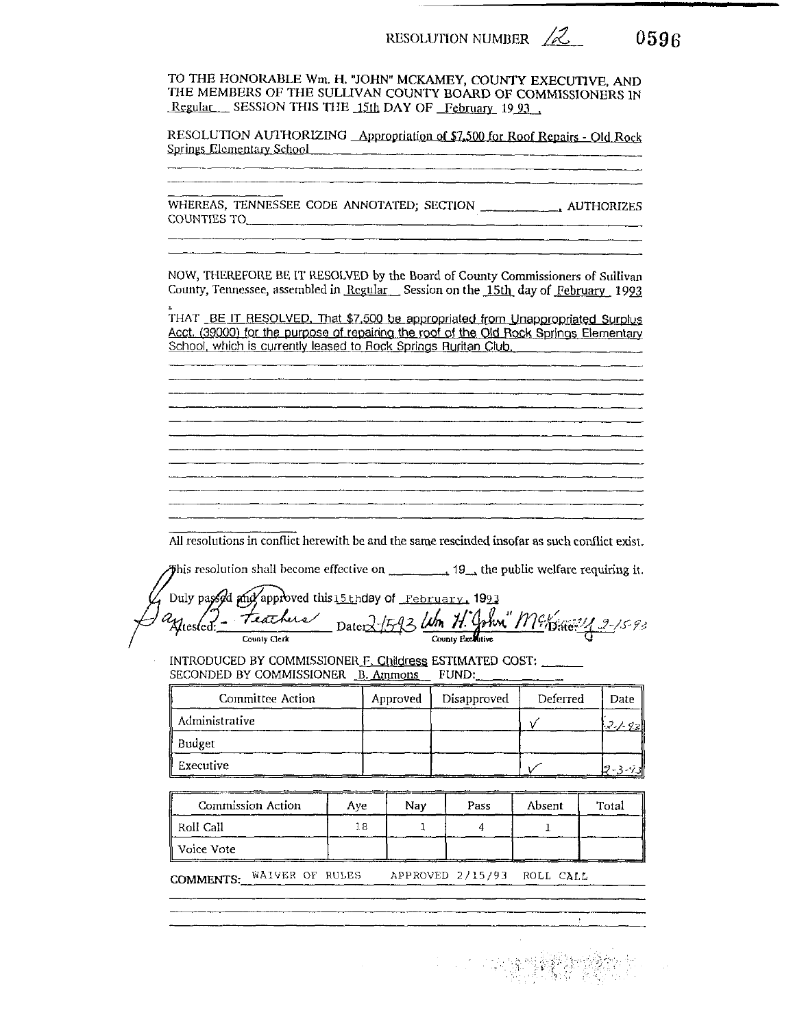RESOLUTION NUMBER  $\angle$ 

0596

TO THE HONORABLE Wm. H. "JOHN" MCKAMEY, COUNTY EXECUTIVE, AND THE MEMBERS OF THE SULLIVAN COUNTY BOARD OF COMMISSIONERS IN Regular SESSION THIS THE 15th DAY OF February 1993.

RESOLUTION AUTHORIZING Appropriation of \$7,500 for Roof Repairs - Old Rock Springs Elementary School

WHEREAS, TENNESSEE CODE ANNOTATED; SECTION \_\_\_\_\_\_\_\_\_\_\_\_\_\_\_\_\_\_\_ AUTHORIZES COUNTIES TO

NOW, THEREFORE BE IT RESOLVED by the Board of County Commissioners of Sullivan County, Tennessee, assembled in Regular Session on the 15th day of February 1993

THAT BE IT RESOLVED. That \$7,500 be appropriated from Unappropriated Surplus Acct. (39000) for the purpose of repairing the roof of the Old Rock Springs Elementary School, which is currently leased to Rock Springs Ruritan Club.

All resolutions in conflict herewith be and the same rescinded insofar as such conflict exist.

Duly passed and approved this 15 th day of February, 1993<br>2 ftested: Teathers Date: 2 ft 93 Um H. John M? phie 2 2-15-93 <sup>a</sup>Ntesled:

INTRODUCED BY COMMISSIONER F. Childress ESTIMATED COST: SECONDED BY COMMISSIONER B. Ammons FUND:

| Committee Action | Approved | Disapproved | Deferred | Date          |
|------------------|----------|-------------|----------|---------------|
| Administrative   |          |             |          | $1.7 / 9$ zll |
| Budget           |          |             |          |               |
| Executive        |          |             |          |               |

| Commission Action | Aye | Nav | Pass | Absent | Total |
|-------------------|-----|-----|------|--------|-------|
| Roll Call         | 18  |     |      |        |       |
| ∥ Voice Vote      |     |     |      |        |       |

COMMENTS: WAIVER OF RULES APPROVED 2/15/93 ROLL CALL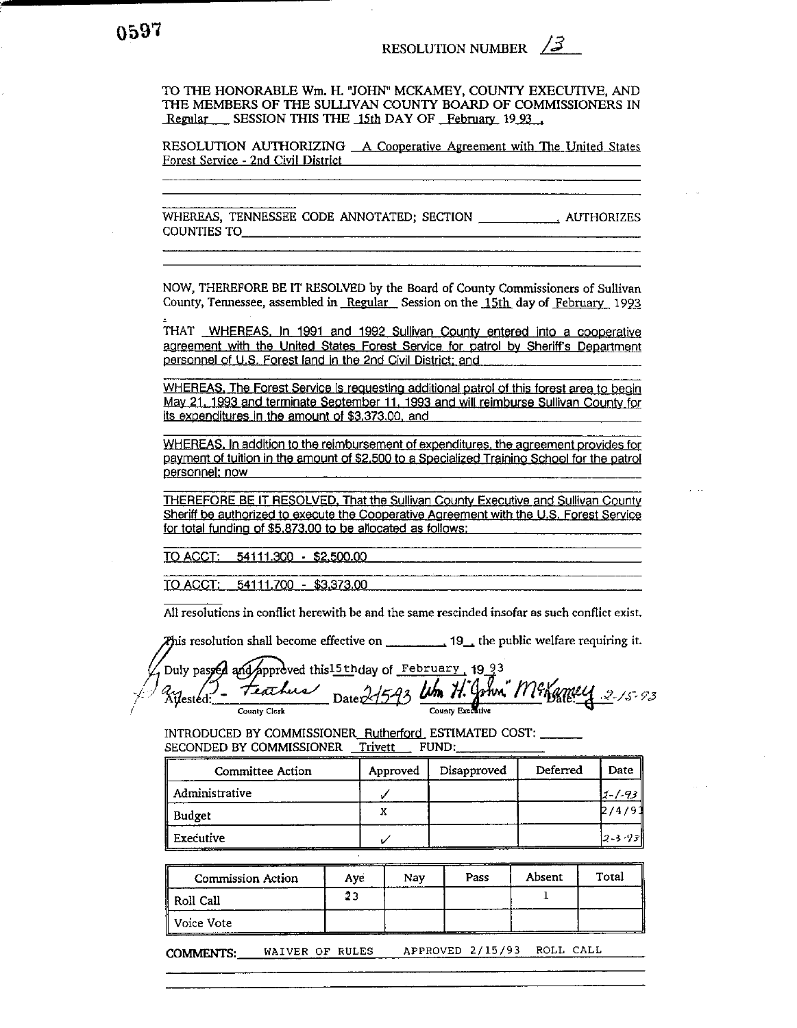TO THE HONORABLE Wm. H. "JOHN" MCKAMEY, COUNTY EXECUTIVE, AND THE MEMBERS OF THE SULLIVAN COUNTY BOARD OF COMMISSIONERS IN Regular SESSION THIS THE 15th DAY OF February 1993.

RESOLUTION AUTHORIZING A Cooperative Agreement with The United States Forest Service - 2nd Civil District

WHEREAS, TENNESSEE CODE ANNOTATED; SECTION \_\_\_\_\_\_\_\_\_\_\_\_\_\_\_\_\_\_\_\_\_\_\_ AUTHORIZES **COUNTIES TO** 

NOW, THEREFORE BE IT RESOLVED by the Board of County Commissioners of Sullivan County, Tennessee, assembled in Regular Session on the 15th day of February 1993

THAT WHEREAS, In 1991 and 1992 Sullivan County entered into a cooperative agreement with the United States Forest Service for patrol by Sheriff's Department personnel of U.S. Forest land in the 2nd Civil District; and

WHEREAS, The Forest Service is requesting additional patrol of this forest area to begin May 21, 1993 and terminate September 11, 1993 and will reimburse Sullivan County for its expenditures in the amount of \$3,373,00, and

WHEREAS. In addition to the reimbursement of expenditures, the agreement provides for payment of tuition in the amount of \$2,500 to a Specialized Training School for the patrol personnel; now

THEREFORE BE IT RESOLVED, That the Sullivan County Executive and Sullivan County Sheriff be authorized to execute the Cooperative Agreement with the U.S. Forest Service for total funding of \$5,873,00 to be allocated as follows:

TO ACCT: 54111.300 - \$2,500.00

TO ACCT: 54111.700 - \$3,373.00

All resolutions in conflict herewith be and the same rescinded insofar as such conflict exist.

 $\chi$  and  $\chi$  is resolution shall become effective on  $\chi$  19<sub>, 1</sub> the public welfare requiring it.

Duly passed and approved this 15th day of February 1993 Date 215-93 Um H. John" Mexamey teachers Ailestéd: County Clerk

INTRODUCED BY COMMISSIONER\_Rutherford\_ESTIMATED COST: \_\_\_\_ SECONDED BY COMMISSIONER Trivett FUND:

| Committee Action | Approved | Disapproved | Deferred | Date    |
|------------------|----------|-------------|----------|---------|
| Administrative   |          |             |          | 1-1-93  |
| Budget           |          |             |          | 12/4/91 |
| Executive        |          |             |          | 2-3-93  |

| Commission Action | Ave | Nav | Pass | Absent | Total |
|-------------------|-----|-----|------|--------|-------|
| ' Roll Call       | 23  |     |      |        |       |
| Voice Vote        |     |     |      |        |       |

APPROVED 2/15/93 ROLL CALL WAIVER OF RULES **COMMENTS:**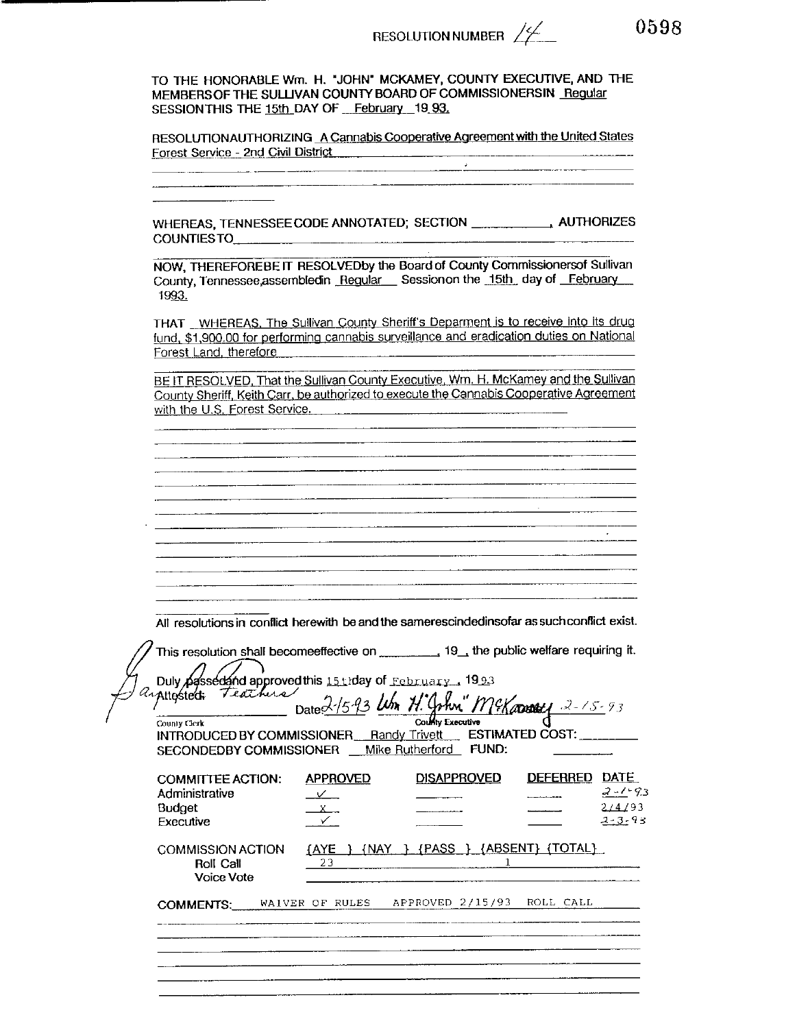TO THE HONORABLE Wm. H. "JOHN" MCKAMEY, COUNTY EXECUTIVE, AND THE MEMBERS OF THE SULLIVAN COUNTY BOARD OF COMMISSIONERSIN Reqular SESSION THIS THE 15th DAY OF February 19 93.

RESOLUTIONAUTHORIZING A Cannabis Cooperative Agreement with the United States Forest Service - 2nd Civil District

WHEREAS, TENNESSEE CODE ANNOTATED; SECTION \_\_\_\_\_\_\_\_\_\_\_\_\_\_\_\_\_\_\_\_\_\_\_ AUTHORIZES COUNTIES TO **COUNTIES** TO

NOW. THEREFOREBE IT RESOLVEDby the Board of County Commissionersof Sullivan County, Tennessee, assembled in Regular Session on the 15th day of February 1993.

THAT WHEREAS, The Sullivan County Sheriff's Deparment is to receive into its drug fund, \$1,900.00 for performing cannabis surveillance and eradication duties on National Forest Land, therefore

BE IT RESOLVED, That the Sullivan County Executive, Wm. H. McKamey and the Sullivan County Sheriff, Keith Carr, be authorized to execute the Cannabis Cooperative Agreement with the U.S. Forest Service.

| ____________ |              |                         |
|--------------|--------------|-------------------------|
|              |              |                         |
|              |              |                         |
|              |              |                         |
|              |              |                         |
|              |              |                         |
|              |              |                         |
|              |              |                         |
|              |              |                         |
|              |              |                         |
|              |              |                         |
|              |              |                         |
|              | ______       | _______________________ |
|              |              |                         |
|              |              |                         |
|              |              |                         |
|              |              |                         |
|              |              |                         |
|              |              |                         |
|              |              |                         |
|              |              |                         |
|              |              |                         |
|              |              |                         |
|              |              |                         |
|              |              |                         |
|              |              |                         |
|              |              |                         |
|              |              |                         |
|              |              |                         |
| -----        |              |                         |
|              |              |                         |
|              |              |                         |
|              |              |                         |
|              |              |                         |
|              |              |                         |
|              |              |                         |
|              |              |                         |
|              | ------------ |                         |
|              |              |                         |
|              |              |                         |
|              |              |                         |
|              |              |                         |
|              |              |                         |
|              |              |                         |
|              |              |                         |

All resolutions in conflict herewith be and the samerescindedinsofar as such conflict exist.

| Duly passed and approved this 15th day of February 1993<br>arphosted: Teathers<br>County Clerk<br>INTRODUCED BY COMMISSIONER Randy Trivett<br>SECONDEDBY COMMISSIONER __ Mike Rutherford | Date 2-15-93 Um H.                        | County Executive<br>FUND:       | "McKamu 2-15-93<br>ESTIMATED COST: |                                                       |
|------------------------------------------------------------------------------------------------------------------------------------------------------------------------------------------|-------------------------------------------|---------------------------------|------------------------------------|-------------------------------------------------------|
| <b>COMMITTEE ACTION:</b><br>Administrative<br><b>Budget</b><br>Executive                                                                                                                 | <b>APPROVED</b><br>$\vee$<br>$\mathsf{X}$ | <b>DISAPPROVED</b>              | <b>DEFERRED</b>                    | <b>DATE</b><br>$2 - 1 - 93$<br>214193<br>$2 - 3 - 93$ |
| <b>COMMISSION ACTION</b><br>Roll Call<br><b>Voice Vote</b>                                                                                                                               | <u>[AYE</u><br>23                         | {NAY } {PASS } {ABSENT} {TOTAL} |                                    |                                                       |
| <b>COMMENTS:</b>                                                                                                                                                                         | WAIVER OF RULES                           | APPROVED 2/15/93 ROLL CALL      |                                    |                                                       |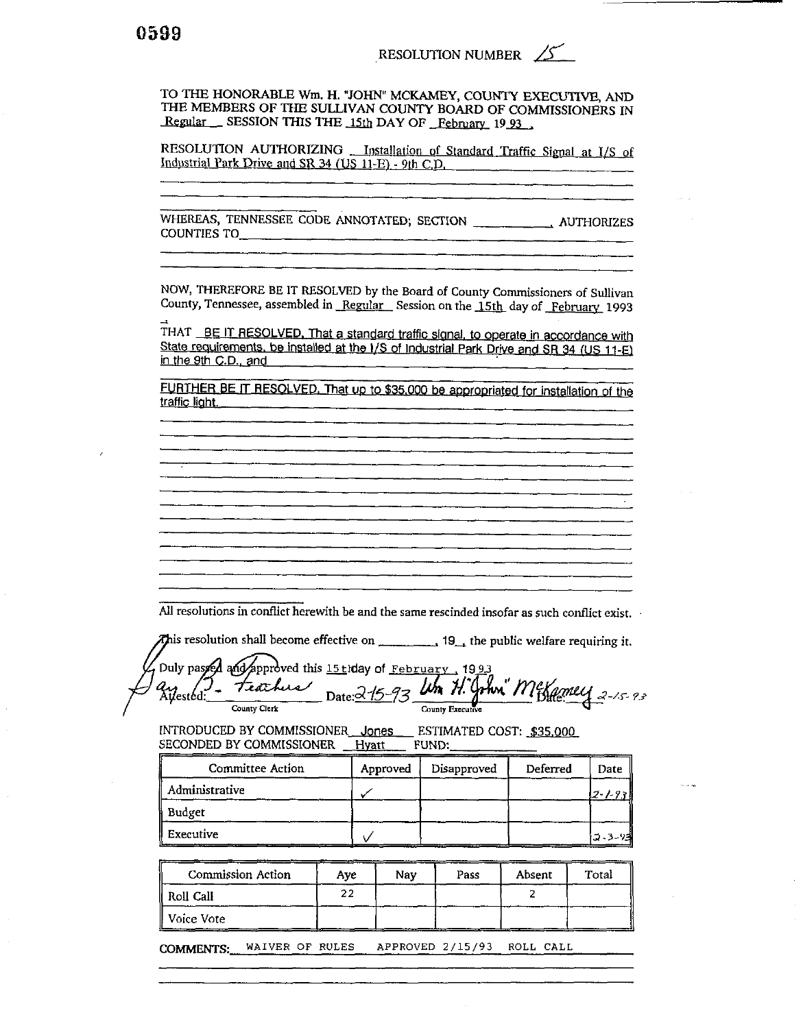TO THE HONORABLE Wm. H. "JOHN" MCKAMEY, COUNTY EXECUTIVE, AND THE MEMBERS OF THE SULLIVAN COUNTY BOARD OF COMMISSIONERS IN Regular \_\_ SESSION THIS THE 15th DAY OF February 19 93

RESOLUTION AUTHORIZING \_\_ Installation of Standard Traffic Signal at I/S of Industrial Park Drive and SR 34 (US 11-E) - 9th C.D.

**COUNTIES TO** 

NOW, THEREFORE BE IT RESOLVED by the Board of County Commissioners of Sullivan County, Tennessee, assembled in Regular Session on the 15th day of February 1993

THAT BE IT RESOLVED, That a standard traffic signal, to operate in accordance with State requirements, be installed at the I/S of Industrial Park Drive and SR 34 (US 11-E) in the 9th C.D., and

FURTHER BE IT RESOLVED. That up to \$35,000 be appropriated for installation of the traffic light.

All resolutions in conflict herewith be and the same rescinded insofar as such conflict exist.

Duly passed and approved this 15thday of February, 1993 mi Mexamey 2-15-93 teachus Kilestéd. Lih 71. C Date: $\alpha$  /5 County Executive County Clerk

INTRODUCED BY COMMISSIONER Jones ESTIMATED COST: \$35,000 SECONDED BY COMMISSIONER Hyatt FUND:

| Committee Action | Approved | Disapproved | Deferred | Date     |
|------------------|----------|-------------|----------|----------|
| Administrative   |          |             |          | 12-1-93  |
| Budget           |          |             |          |          |
| I Executive      |          |             |          | つ 3 - 73 |

| Commission Action | Ave | Nav | Pass                     | Absent | Total |
|-------------------|-----|-----|--------------------------|--------|-------|
| Roll Call "       | 22  |     |                          |        |       |
| ll Voice Vote     |     |     | $\overline{\phantom{a}}$ |        |       |

COMMENTS: WAIVER OF RULES APPROVED 2/15/93 ROLL CALL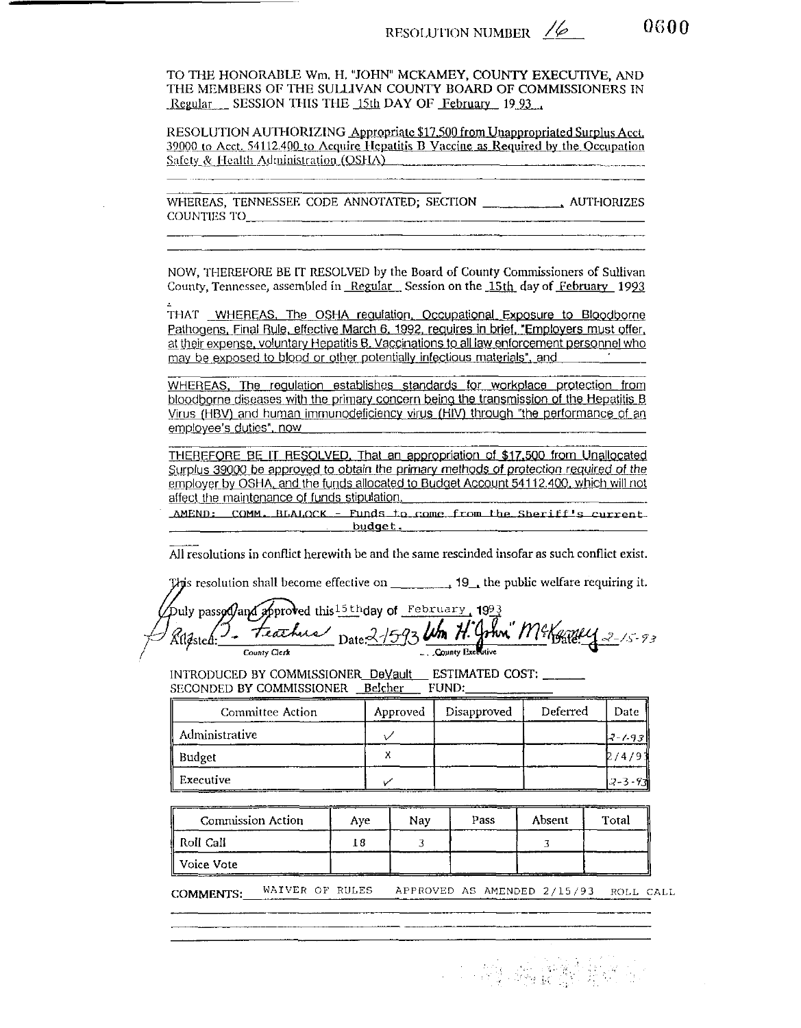0600

TO THE HONORABLE Wm. H. "JOHN" MCKAMEY, COUNTY EXECUTIVE, AND THE MEMBERS OF THE SULLIVAN COUNTY BOARD OF COMMISSIONERS IN Regular SESSION THIS THE 15th DAY OF February 19.93

RESOLUTION AUTHORIZING Appropriate \$17,500 from Unappropriated Surplus Acct. 39000 to Acct. 54112.400 to Acquire Hepatitis B Vaccine as Required by the Occupation Safety & Health Administration (OSHA)

NOW, THEREFORE BE IT RESOLVED by the Board of County Commissioners of Sullivan County, Tennessee, assembled in Regular Session on the 15th day of February 1993

THAT WHEREAS, The OSHA regulation, Occupational Exposure to Bloodborne Pathogens, Final Rule, effective March 6, 1992, requires in brief, "Employers must offer, at their expense, voluntary Hepatitis B. Vaccinations to all law enforcement personnel who may be exposed to blood or other potentially infectious materials", and

WHEREAS, The regulation establishes standards for workplace protection from bloodborne diseases with the primary concern being the transmission of the Hepatitis B Virus (HBV) and human immunodeficiency virus (HIV) through "the performance of an employee's duties", now

THEREFORE BE IT RESOLVED. That an appropriation of \$17,500 from Unallocated Surplus 39000 be approved to obtain the primary methods of protection required of the employer by OSHA, and the funds allocated to Budget Account 54112.400, which will not affect the maintenance of funds stipulation.

AMEND: COMM. BLALOCK - Funds to come from the Sheriff's current. budget.

All resolutions in conflict herewith be and the same rescinded insofar as such conflict exist.

This resolution shall become effective on  $\qquad \qquad$  19, the public welfare requiring it.

Duly passod) and approved this  $^{15}$ thday of February 1993 Feather Date 2/593 Um H. John" McKergey 2-15-93 County Executive County Clerk

INTRODUCED BY COMMISSIONER\_DeVault\_ESTIMATED COST: \_\_\_\_\_\_ SECONDED BY COMMISSIONER Belcher FUND:

| Committee Action | Approved | Disapproved | Deferred | Date     |
|------------------|----------|-------------|----------|----------|
| Administrative   |          |             |          | 17-7-931 |
| Budget           |          |             |          | 9/4/9.   |
| ' Executive      |          |             |          | 12-3-931 |

| <b>Commission Action</b> | Ave | Nav | Pass | Absent | Total |
|--------------------------|-----|-----|------|--------|-------|
| Roll Call                |     |     |      |        |       |
| Voice Vote               |     |     |      |        |       |

WAIVER OF RULES APPROVED AS AMENDED 2/15/93 ROLL CALL **COMMENTS:** 

**1. 2010年 建筑**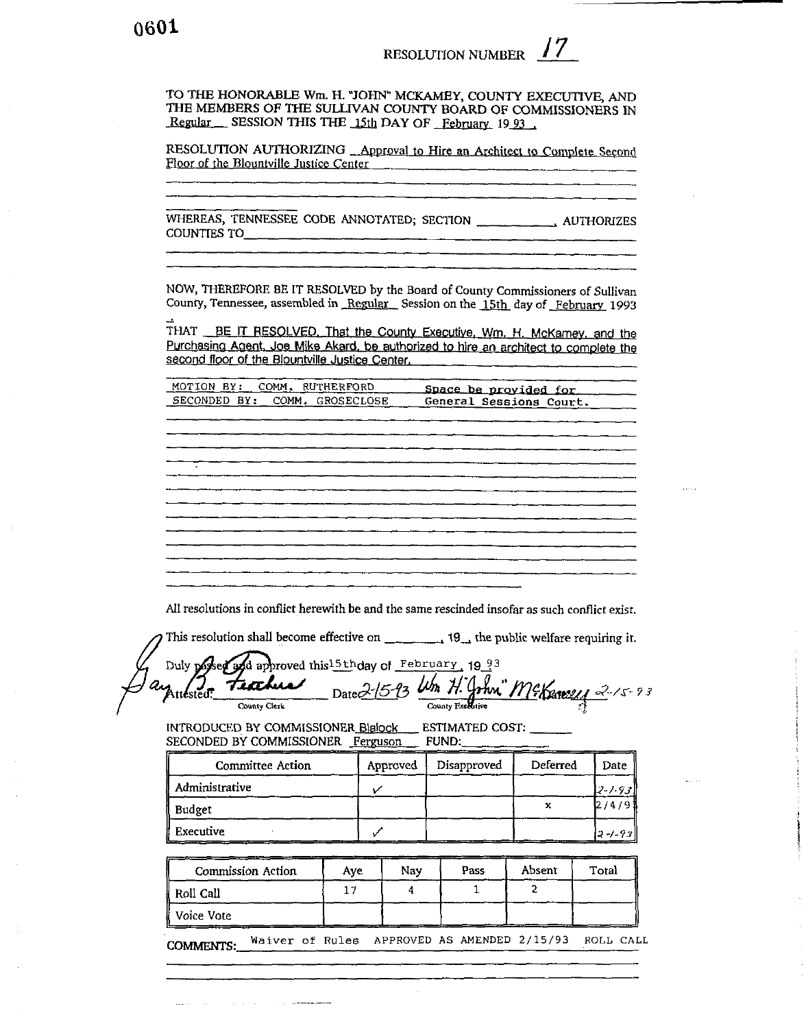TO THE HONORABLE Wm. H. "JOHN" MCKAMEY, COUNTY EXECUTIVE, AND THE MEMBERS OF THE SULLIVAN COUNTY BOARD OF COMMISSIONERS IN Regular SESSION THIS THE 15th DAY OF February 1993.

RESOLUTION AUTHORIZING \_Approval to Hire an Architect to Complete Second Floor of the Blountville Justice Center

COUNTIES TO

NOW, THEREFORE BE IT RESOLVED by the Board of County Commissioners of Sullivan County, Tennessee, assembled in Regular Session on the 15th day of February 1993

THAT BE IT RESOLVED. That the County Executive, Wm. H. McKamey, and the Purchasing Agent, Joe Mike Akard, be authorized to hire an architect to complete the second floor of the Blountville Justice Center.

| MOTION BY: COMM. RUTHERFORD   | Space be provided for   |
|-------------------------------|-------------------------|
| SECONDED BY: COMM. GROSECLOSE | General Sessions Court. |

|        | ▅▁ <sup>▃</sup> ▅▖▁▗▅▁▁▞▖▁▄▚▚▖▖▅▙▞▖▅▆▙▞▅▅▁▞▆▖▁▟▚▁▗▅▁▗▅▆▁▞▅▆▂▛▅▞▗▅▆▚▗▅▙▖▗▅▖▁▞▙▁▞▅▙▁▚▜▖▖▗▞▚▖▖▙▃▅▁▞▆▙▁▞▓▙▖▖▙▙▃▖ |  |  |  |
|--------|--------------------------------------------------------------------------------------------------------------|--|--|--|
|        |                                                                                                              |  |  |  |
|        |                                                                                                              |  |  |  |
|        |                                                                                                              |  |  |  |
|        |                                                                                                              |  |  |  |
|        | ▀▘▀▀ <sup>▆</sup> ▘▀▀▘▀▀▀▀▀▀▀▀▀▀▀▀▀▀▀▀▀ <sup>▁▃▀▀▘▁▝▀▘▘▀▀▀<sup>▆</sup>▛▀▀▘▘▀▀▀▘▘▀▀▀▘▘▀▀▀<sup>▆</sup></sup>   |  |  |  |
|        |                                                                                                              |  |  |  |
|        |                                                                                                              |  |  |  |
|        |                                                                                                              |  |  |  |
|        |                                                                                                              |  |  |  |
|        |                                                                                                              |  |  |  |
|        |                                                                                                              |  |  |  |
|        |                                                                                                              |  |  |  |
|        |                                                                                                              |  |  |  |
|        |                                                                                                              |  |  |  |
| ______ |                                                                                                              |  |  |  |
|        |                                                                                                              |  |  |  |
|        |                                                                                                              |  |  |  |
|        |                                                                                                              |  |  |  |
|        |                                                                                                              |  |  |  |
|        |                                                                                                              |  |  |  |
|        |                                                                                                              |  |  |  |
|        |                                                                                                              |  |  |  |
|        |                                                                                                              |  |  |  |
|        |                                                                                                              |  |  |  |
|        |                                                                                                              |  |  |  |
|        |                                                                                                              |  |  |  |
|        |                                                                                                              |  |  |  |
|        |                                                                                                              |  |  |  |
|        |                                                                                                              |  |  |  |
|        | ▘▗▛▘▁▗ <del>▏▁▗▙▝▁▗▞▝▁▖▙▔▔▆▞▔▗▆▞▔▞▆▞▗▞▛▙▞▞▛▙▁▓▙▁▞▙▘▖▞▝▁▖▅▞▔▖▆▖▔▞▆▁▅▖▗▆▁▞▆▖▞▆▖▗▊▎▎▞▙▁▞▙▁▞▙▁▖</del>            |  |  |  |
|        |                                                                                                              |  |  |  |
|        |                                                                                                              |  |  |  |
|        |                                                                                                              |  |  |  |
|        |                                                                                                              |  |  |  |
|        |                                                                                                              |  |  |  |
|        |                                                                                                              |  |  |  |
|        |                                                                                                              |  |  |  |
|        |                                                                                                              |  |  |  |
|        |                                                                                                              |  |  |  |
|        |                                                                                                              |  |  |  |
|        |                                                                                                              |  |  |  |
|        |                                                                                                              |  |  |  |
|        |                                                                                                              |  |  |  |
|        |                                                                                                              |  |  |  |
|        |                                                                                                              |  |  |  |
|        |                                                                                                              |  |  |  |
|        |                                                                                                              |  |  |  |
|        |                                                                                                              |  |  |  |

All resolutions in conflict herewith be and the same rescinded insofar as such conflict exist.

This resolution shall become effective on  $\frac{1}{2}$  =  $\frac{1}{2}$  19 the public welfare requiring it.

d approved this 15th day of February, 19 93 Duly pas m." McKaneey 2-15-93  $\mu$ m  $\mu$ . Teochii ttested? Date<sup>Z</sup> County Executive County Clerk

INTRODUCED BY COMMISSIONER Blalock ESTIMATED COST: SECONDED BY COMMISSIONER Ferguson FUND:

| Committee Action | Approved | Disapproved | Deferred | Date     |
|------------------|----------|-------------|----------|----------|
| Administrative   |          |             |          | 2-1-93   |
| Budget           |          |             |          |          |
| Executive        |          |             |          | $2 - 93$ |

| <b>Commission Action</b> | Ave | Nav | Pass | Absent | Total |
|--------------------------|-----|-----|------|--------|-------|
| Roll Call                |     |     |      |        |       |
| Voice Vote               |     |     |      |        |       |

Waiver of Rules APPROVED AS AMENDED 2/15/93 ROLL CALL **COMMENTS:**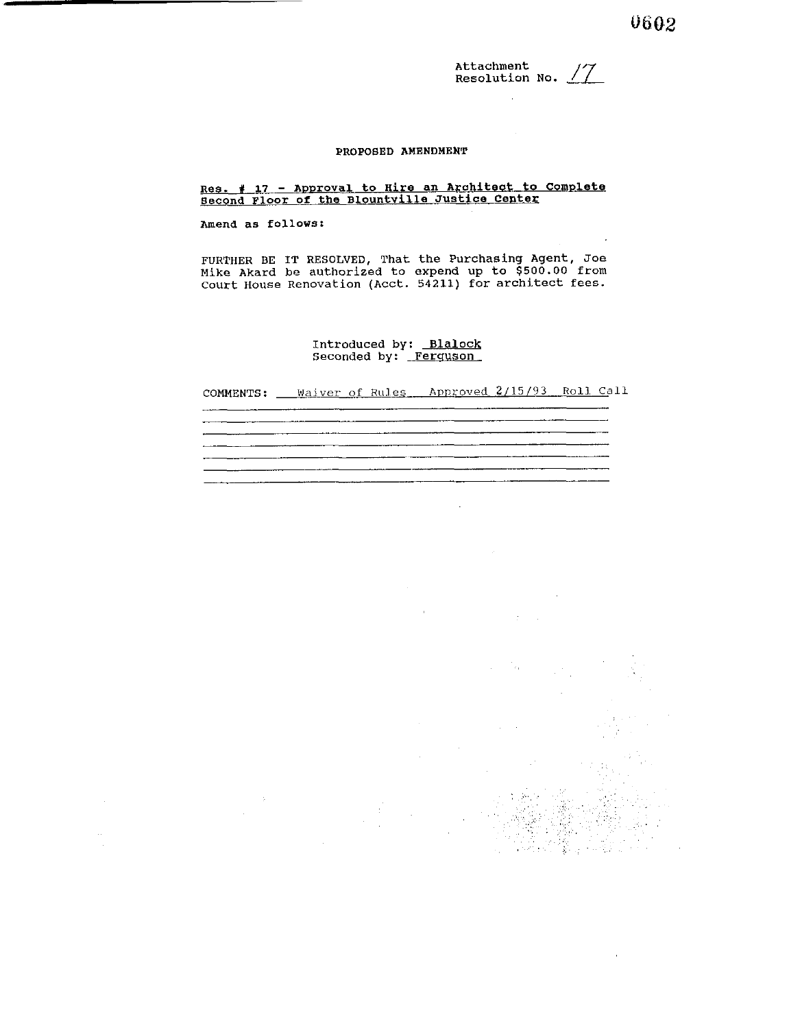**Attachment Resolution No.** /7

#### **PROPOSED AMENDMENT**

#### **Amend as follows:**

**FURTHER BE IT RESOLVED, That the Purchasing Agent, Joe Mike Akard be authorized to expend up to \$500.00 from Court House Renovation (Acct. 54211) for architect fees.** 

# **Introduced by:** Blalock **Seconded by: Ferquson**

**COMMENTS: Waiver of Rules Approved 2/15/93 Roll. Call** 

**Resolution No.** //<br>**Resolution No.** //<br>**Resolution No.** //<br>**Resolution No.** //<br>**Resolution of the Blountyllia Justice Center**<br>**Newman Aron C the Blountyllia Justice Center**<br>**DROVER ART DESCAY CO**, the Purchasing Agent, Jo

 $\mathcal{L}_{\mathrm{in}}$ 

 $\mathcal{L}_{\mathcal{A}}$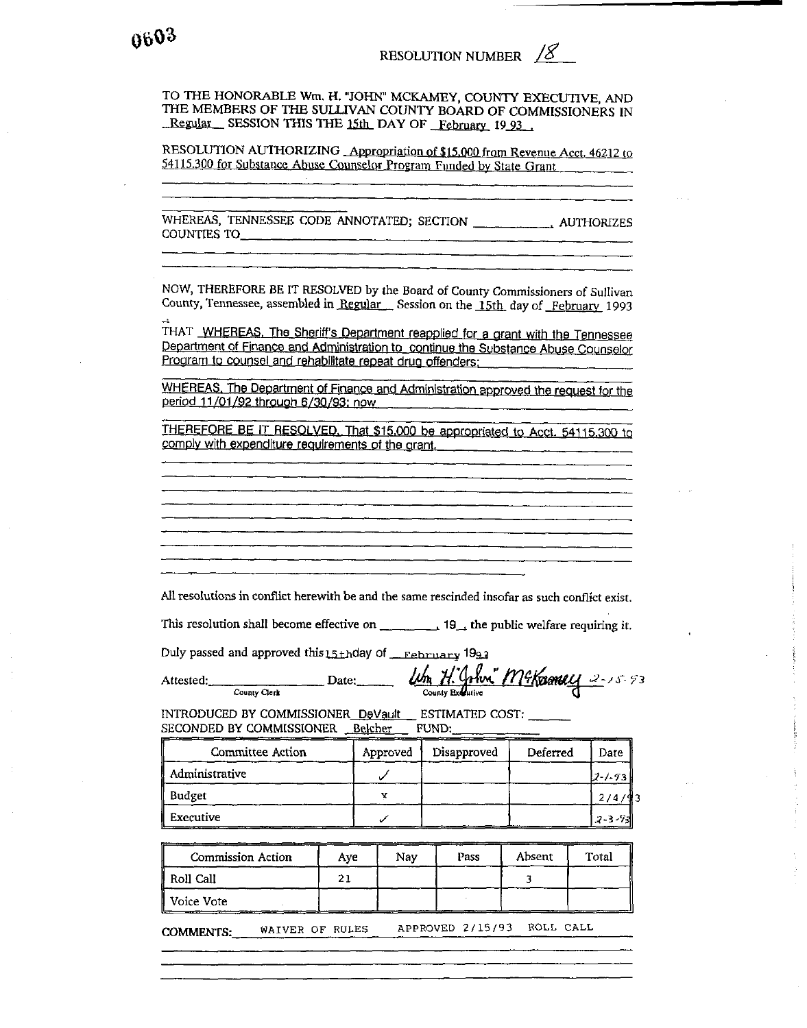TO THE HONORABLE Wm. H. "JOHN" MCKAMEY, COUNTY EXECUTIVE, AND THE MEMBERS OF THE SULLIVAN COUNTY BOARD OF COMMISSIONERS IN Regular SESSION THIS THE 15th DAY OF February 1993

RESOLUTION AUTHORIZING Appropriation of \$15,000 from Revenue Acct. 46212 to 54115.300 for Substance Abuse Counselor Program Funded by State Grant

**COUNTIES TO** 

NOW, THEREFORE BE IT RESOLVED by the Board of County Commissioners of Sullivan County, Tennessee, assembled in Regular Session on the 15th day of February 1993

THAT WHEREAS. The Sheriff's Department reapplied for a grant with the Tennessee Department of Finance and Administration to continue the Substance Abuse Counselor Program to counsel and rehabilitate repeat drug offenders:

WHEREAS, The Department of Finance and Administration approved the request for the period 11/01/92 through 6/30/93: now

THEREFORE BE IT RESOLVED. That \$15,000 be appropriated to Acct. 54115,300 to comply with expenditure requirements of the grant.

All resolutions in conflict herewith be and the same rescinded insofar as such conflict exist.

This resolution shall become effective on  $\qquad \qquad$  19<sub>-1</sub> the public welfare requiring it.

Duly passed and approved this 15thday of February 1993

Attested: County Clerk

Um H. John" McKamey 2-15-93

INTRODUCED BY COMMISSIONER\_DeVault\_\_ ESTIMATED COST: \_\_ \_\_ FUND: SECONDED BY COMMISSIONER Belcher

Date:

| Committee Action | Approved | Disapproved | Deferred | Date       |
|------------------|----------|-------------|----------|------------|
| Administrative   |          |             |          | 2-1-93     |
| Budget           |          |             |          |            |
| Executive        |          |             |          | 2 - 3 - 93 |

| <b>Commission Action</b> | Ave            | Nav | Pass | Absent | Total |
|--------------------------|----------------|-----|------|--------|-------|
| Roll Call                | n.<br><u>,</u> |     |      |        |       |
| Voice Vote               |                |     |      |        |       |

APPROVED 2/15/93 ROLL CALL WAIVER OF RULES COMMENTS: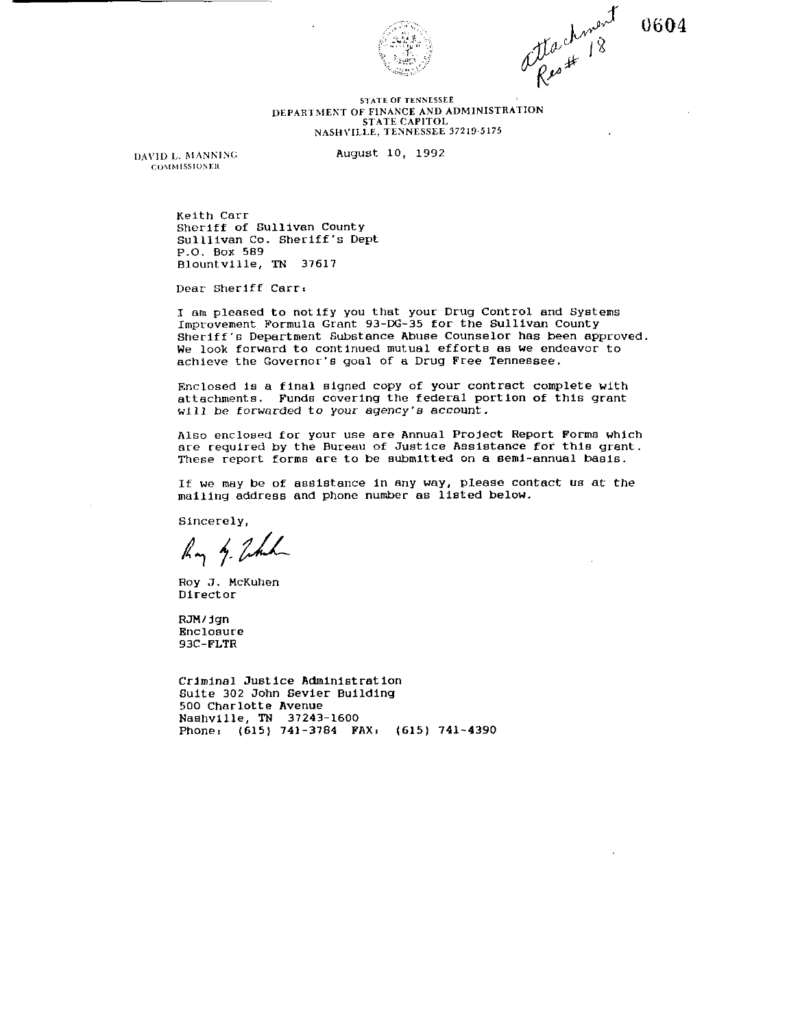

attachment

#### **51ATE OF TENKESlEE**  DEPARTMENT OF FINANCE AND ADMINISTRATION STATE CAPITOL **NASH\'II.LE, TENNESSEE 37219-5175**

**~o\lhlIssIOH<** 

**IDAVID L. MANNING August 10, 1992** 

Keith Carr Sheriff of Sullivan County Sulllivan Co. Sheriff's Dept P.O. Box 589 Blountville, TN 37617

Dear Sheriff Carr:

I am pleased to notify you that your Drug Control and Systems Improvement Formula Grant 93-DG-35 for the Sullivan County Sheriff's Department Substance Abuse Counselor has been approved. We look forward to continued mutual efforts as we endeavor to achieve the Governor's goal of a Drug Free Tennessee.

Enclosed is a final signed copy of your contract complete with attachments. Funds covering the federal portion of this grant will be forwarded to your agency's account.

Also encloaea for your use are Annual Project Report Forms which are required by the Bureau of Justice Assistance for this grant. These report forms are to be submitted on a semi-annual baeis.

If we may be of assistance in any way, please contact us at the mailing address and phone number as listed below.

Sincerely,

Ry 4. John

Roy J. McKuhen Director

RJM/jgn Enclosure 93C-FLTR

Criminal Justice Administ rat ion Suite 302 John Sevier Building 500 Charlotte Avenue Nashville, **TN** 37243-1600 Phone, (615) 741-3784 FAX, (615) 741-4390 0604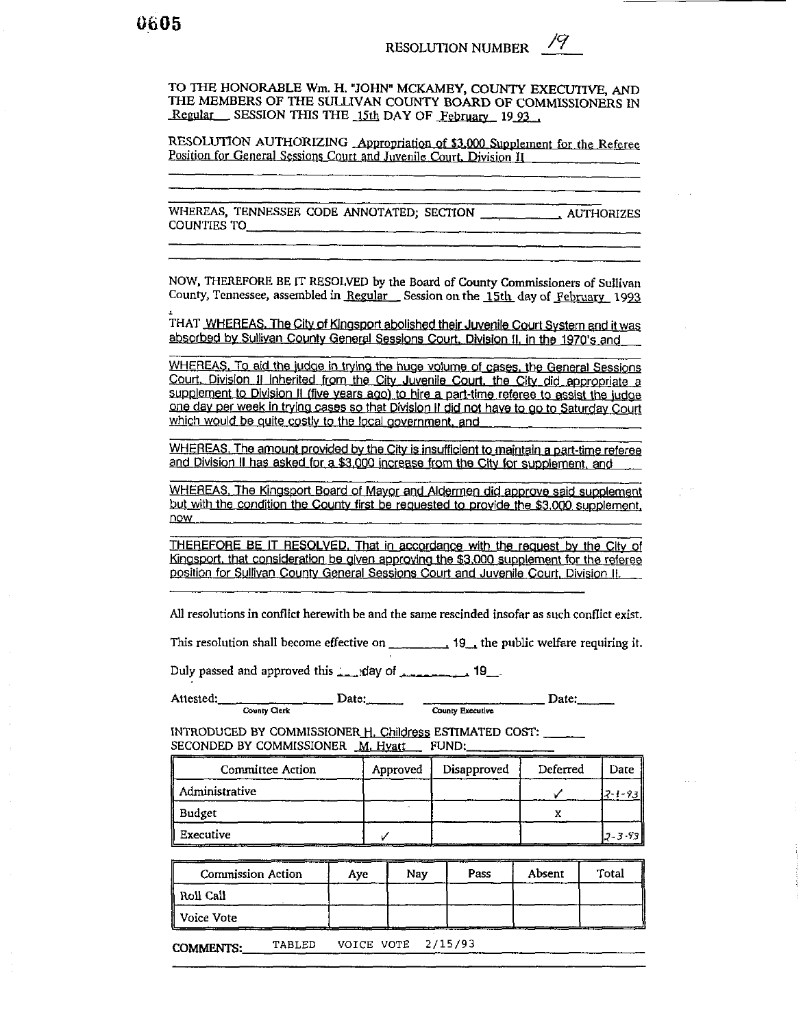TO THE HONORABLE Wm. H. "JOHN" MCKAMEY, COUNTY EXECUTIVE, AND THE MEMBERS OF THE SULLIVAN COUNTY BOARD OF COMMISSIONERS IN Regular SESSION THIS THE 15th DAY OF February 1993

RESOLUTION AUTHORIZING Appropriation of \$3,000 Supplement for the Referee Position for General Sessions Court and Juvenile Court, Division II

WHEREAS, TENNESSEE CODE ANNOTATED; SECTION \_\_\_\_\_\_\_\_\_\_\_, AUTHORIZES COUNTIES TO

NOW, THEREFORE BE IT RESOLVED by the Board of County Commissioners of Sullivan County, Tennessee, assembled in Regular Session on the 15th day of February 1993

THAT WHEREAS. The City of Kingsport abolished their Juvenile Court System and it was absorbed by Sullivan County General Sessions Court, Division II, in the 1970's and

WHEREAS. To aid the judge in trying the huge volume of cases, the General Sessions Court, Division II inherited from the City Juvenile Court, the City did appropriate a supplement to Division II (five years ago) to hire a part-time referee to assist the judge one day per week in trying cases so that Division II did not have to go to Saturday Court which would be quite costly to the local government, and

WHEREAS. The amount provided by the City is insufficient to maintain a part-time referee and Division II has asked for a \$3,000 increase from the City for supplement, and

WHEREAS, The Kingsport Board of Mayor and Aldermen did approve said supplement but with the condition the County first be requested to provide the \$3,000 supplement, now

THEREFORE BE IT RESOLVED. That in accordance with the request by the City of Kingsport, that consideration be given approving the \$3,000 supplement for the referee position for Sullivan County General Sessions Court and Juvenile Court, Division II.

All resolutions in conflict herewith be and the same rescinded insofar as such conflict exist.

This resolution shall become effective on  $\frac{1}{2}$  =  $\frac{1}{2}$  = 19. the public welfare requiring it.

Duly passed and approved this  $\frac{1}{2}$  day of  $\frac{1}{2}$  19

Attested: County Clerk Date:  $\qquad \qquad \qquad$  Date:  $\qquad \qquad \qquad$  Date:

INTRODUCED BY COMMISSIONER H. Childress ESTIMATED COST: SECONDED BY COMMISSIONER M. Hyatt FUND:

| Committee Action   | Approved | Disapproved | Deferred | Date     |
|--------------------|----------|-------------|----------|----------|
| Administrative     |          |             |          | フー・・・タマー |
| Budget             |          |             |          |          |
| Executive<br>_____ |          |             |          | J.3.93   |

| <b>Commission Action</b> | Ave | Nav | Pass | Absent | Total |
|--------------------------|-----|-----|------|--------|-------|
| Roll Call                |     |     |      |        |       |
| Voice Vote               |     |     |      |        |       |

VOICE VOTE 2/15/93 TABLED **COMMENTS:**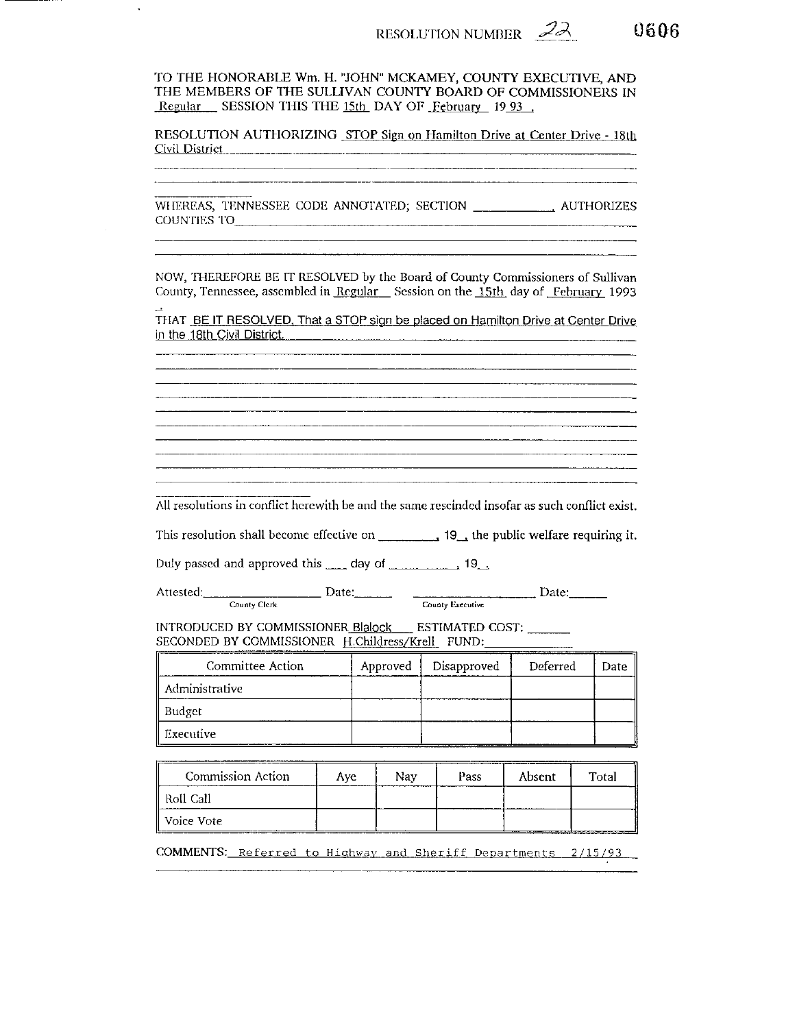

TO THE HONORABLE Wm. H. "JOHN" MCKAMEY, COUNTY EXECUTIVE, AND THE MEMBERS OF THE SULLIVAN COUNTY BOARD OF COMMISSIONERS IN Regular SESSION THIS THE 15th DAY OF February 1993.

RESOLUTION AUTHORIZING STOP Sign on Hamilton Drive at Center Drive - 18th Civil District 

COUNTIES TO

NOW, THEREFORE BE IT RESOLVED by the Board of County Commissioners of Sullivan County, Tennessee, assembled in Regular Session on the 15th day of February 1993

THAT BE IT RESOLVED, That a STOP sign be placed on Hamilton Drive at Center Drive in the 18th Civil District. 

All resolutions in conflict herewith be and the same rescinded insofar as such conflict exist.

 $\frac{1}{k}$  Date:  $\frac{1}{k}$  Date:  $\frac{1}{k}$  Date: Attested: County Clerk

INTRODUCED BY COMMISSIONER Blalock ESTIMATED COST: SECONDED BY COMMISSIONER H.Childress/Krell FUND:

| Committee Action               | Approved | Disapproved | Deferred | Date |
|--------------------------------|----------|-------------|----------|------|
| $\mathbin\Vert$ Administrative |          |             |          |      |
| ∥ Budget                       |          |             |          |      |
| Executive                      |          |             |          |      |

| Commission Action | Ave. | Nav | Pass | Absent | Total |
|-------------------|------|-----|------|--------|-------|
| - Roll Call       |      |     |      |        |       |
| Voice Vote        |      |     |      |        |       |

COMMENTS: Referred to Highway and Sheriff Departments 2/15/93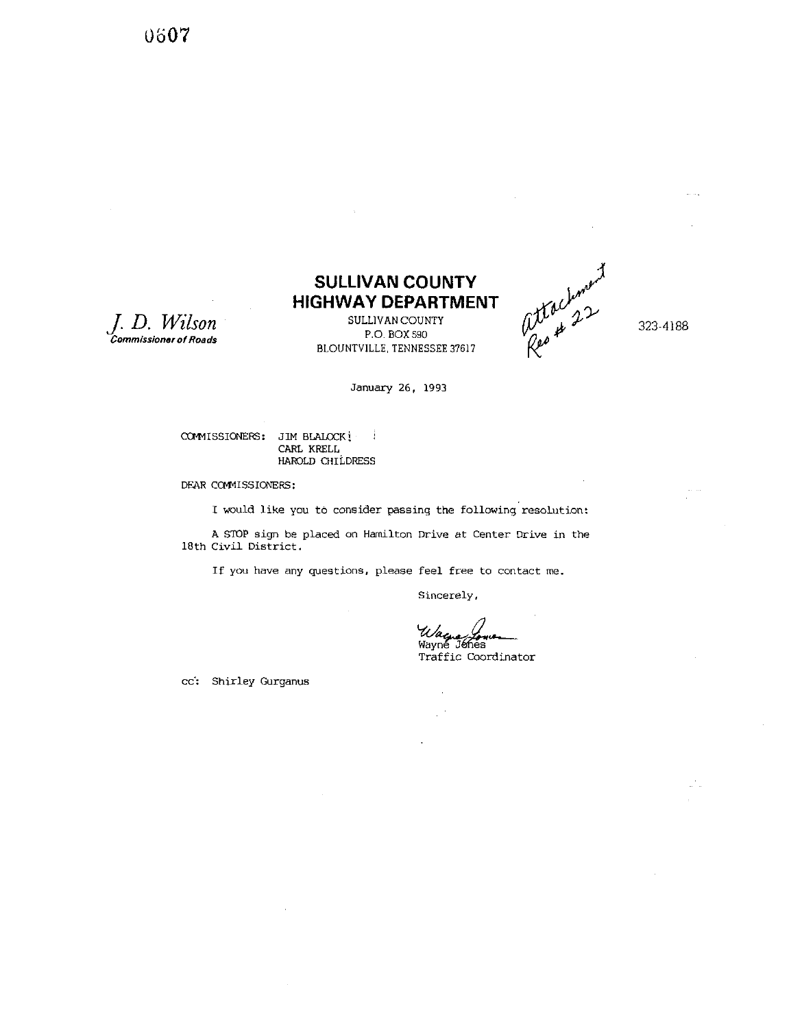0607

*J.* **D.** *Wilson*  **Commissioner of Roads** 

## **SULLIVAN COUNTY HIGHWAY DEPARTMENT**

SULLIVAN COUNTY P.O. BOX 590 BLOUNTVILLE, TENNESSEE 37617



323-4188

January 26. 1993

COMMISSIONERS: JIM BLALOCK **|** CARL **KRELL**  HAROLD CHILDRESS

DEAR COMMISSIONERS:

I would like you to consider passing the following resolution:

**<sup>A</sup>**STOP sign be placed on Hamilton Drive at Center Drive in the 18th Civil District.

If you have any questions, please feel free to contact me.

Sincerely,

 $\bar{z}$ 

Wagner<br>Wayne Johnson

Traffic Coordinator

cc': Shirley Gurganus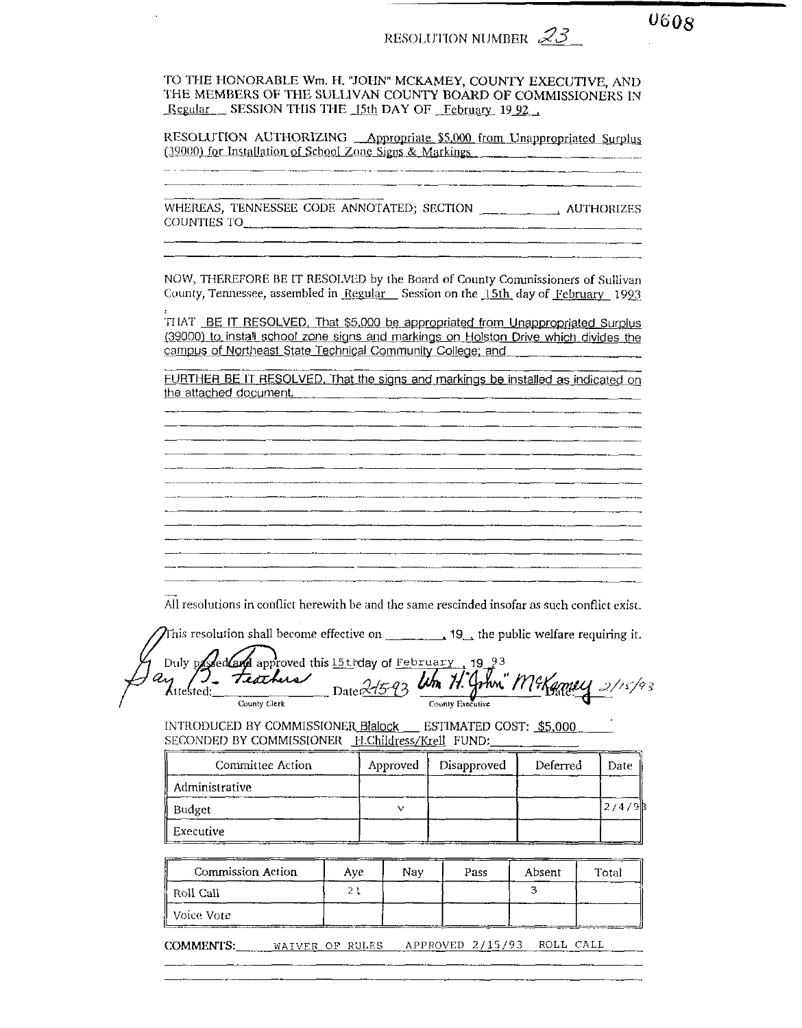$0608$ 

TO THE HONORABLE Wm. H. "JOHN" MCKAMEY, COUNTY EXECUTIVE. AND THE MEMBERS OF THE SULLIVAN COUNTY BOARD OF COMMISSIONERS IN Regular SESSION THIS THE 15th DAY OF February 1992

RESOLUTION AUTHORIZING Appropriate \$5,000 from Unappropriated Surplus (39000) for Installation of School Zone Signs & Markings

WHEREAS, TENNESSEE CODE ANNOTATED; SECTION AUTHORIZES COUNTIES TO

NOW. THEREFORE BE IT RESOLVED by the Board of County Commissioners of Sullivan County, Tennessee, assembled in Regular Session on the 15th day of February 1993

THAT BE IT RESOLVED. That \$5,000 be appropriated from Unappropriated Surplus (39000) to install school zone signs and markings on Holston Drive which divides the campus of Northeast State Technical Community College; and

FURTHER BE IT RESOLVED. That the signs and markings be installed as indicated on the attached document.

All resolutions in conflict herewith be and the same rescinded insofar as such conflict exist.

This resolution shall become effective on  $\overline{\phantom{a}}$  19, the public welfare requiring it.

Duly possed Camp approved this 15th day of February 19 93<br>21 1: Teathers Date 215-93 Un H. John McKamey 2/15/93

INTRODUCED BY COMMISSIONER Blalock \_\_ ESTIMATED COST: \$5,000 SECONDED BY COMMISSIONER H.Childress/Krell FUND:

| Committee Action | Approved | Disapproved | Deferred | Date |
|------------------|----------|-------------|----------|------|
| Administrative   |          |             |          |      |
| Budget           |          |             |          |      |
| Executive        |          |             |          |      |

| ————<br>Commission Action | Ave | Nav | Pass | Absent | Total |
|---------------------------|-----|-----|------|--------|-------|
| Roll Call                 |     |     |      |        |       |
| ∥ Voice Vote              |     |     |      |        |       |

COMMENTS: WAIVER OF RULES APPROVED 2/15/93 ROLL CALL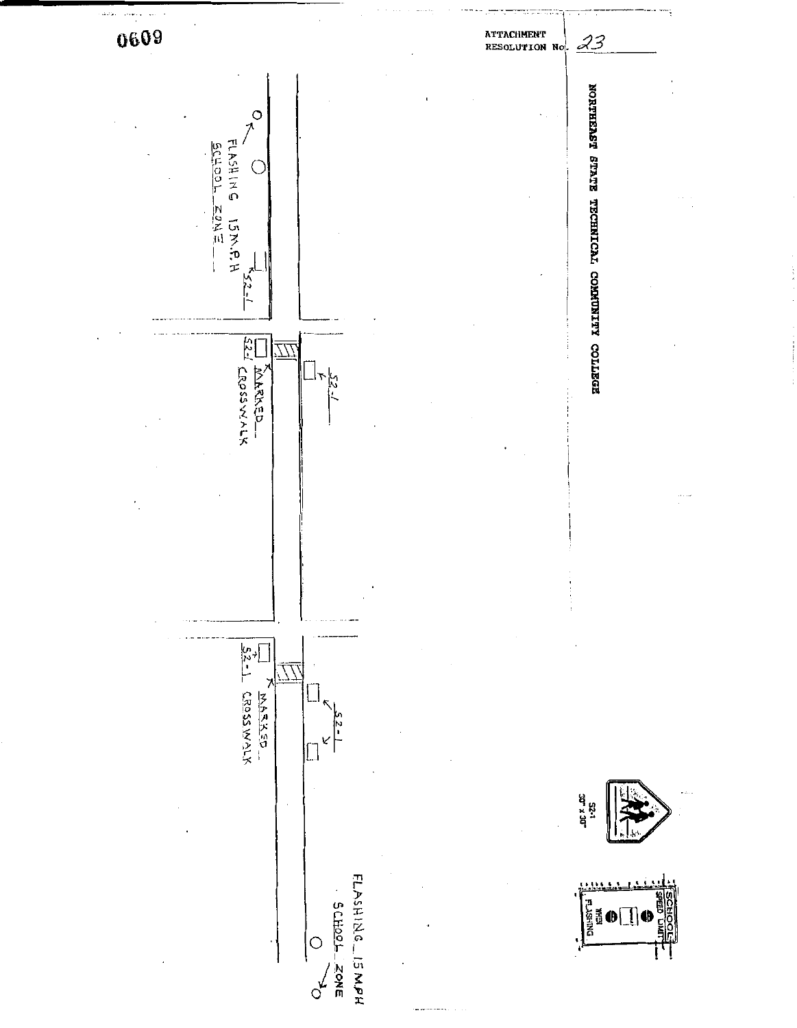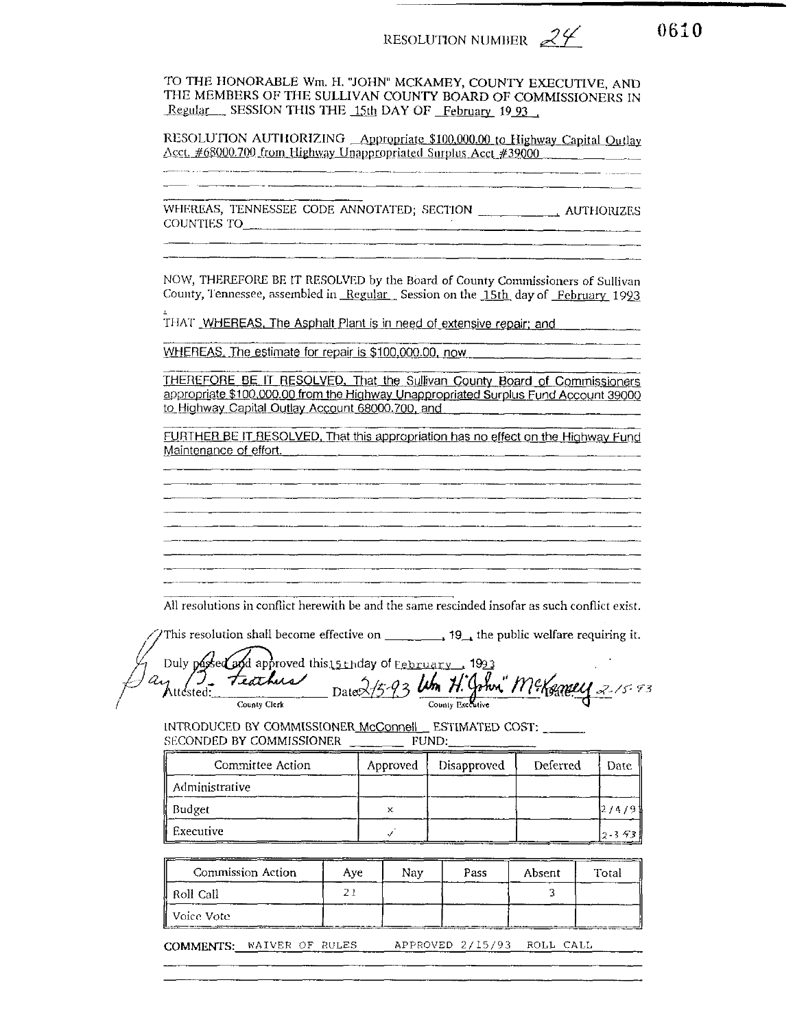0610

TO THE HONORABLE Wm. H. "JOHN" MCKAMEY, COUNTY EXECUTIVE, AND THE MEMBERS OF THE SULLIVAN COUNTY BOARD OF COMMISSIONERS IN Regular SESSION THIS THE 15th DAY OF February 1993.

RESOLUTION AUTHORIZING Appropriate \$100,000.00 to Highway Capital Outlay Acct. #68000.700 from Highway Unappropriated Surplus Acct #39000

COUNTIES TO

NOW, THEREFORE BE IT RESOLVED by the Board of County Commissioners of Sullivan County, Tennessee, assembled in Regular Session on the 15th day of February 1993

THAT WHEREAS, The Asphalt Plant is in need of extensive repair; and

<u> 1980 - Jan Barat, martin de Barat, martin de la provincia de la provincia de la provincia de la provincia de</u>

WHEREAS. The estimate for repair is \$100,000.00, now

THEREFORE BE IT RESOLVED, That the Sullivan County Board of Commissioners appropriate \$100,000.00 from the Highway Unappropriated Surplus Fund Account 39000 to Highway Capital Outlay Account 68000.700, and

FURTHER BE IT RESOLVED. That this appropriation has no effect on the Highway Fund Maintenance of effort.

All resolutions in conflict herewith be and the same rescinded insofar as such conflict exist.

Duly pasted and approved this 15 th day of February 1993 Itested: Feathers Dates 15-93 Um H. John" McKemey 2-15-93 Attested:

INTRODUCED BY COMMISSIONER McConnell ESTIMATED COST: SECONDED BY COMMISSIONER FUND:

| Committee Action | Approved | Disapproved | Deferred | Date           |
|------------------|----------|-------------|----------|----------------|
| Administrative   |          |             |          |                |
| Budget           | x        |             |          | 12/4/91        |
| Executive        |          |             |          | $12 - 3 - 931$ |

| Commission Action | Ave | Nav | Pass | Absent | Total |
|-------------------|-----|-----|------|--------|-------|
| ll Roll Call      |     |     |      |        |       |
| ll Voice Vote-    |     |     |      |        |       |

COMMENTS: WAIVER OF RULES APPROVED 2/15/93 ROLL CALL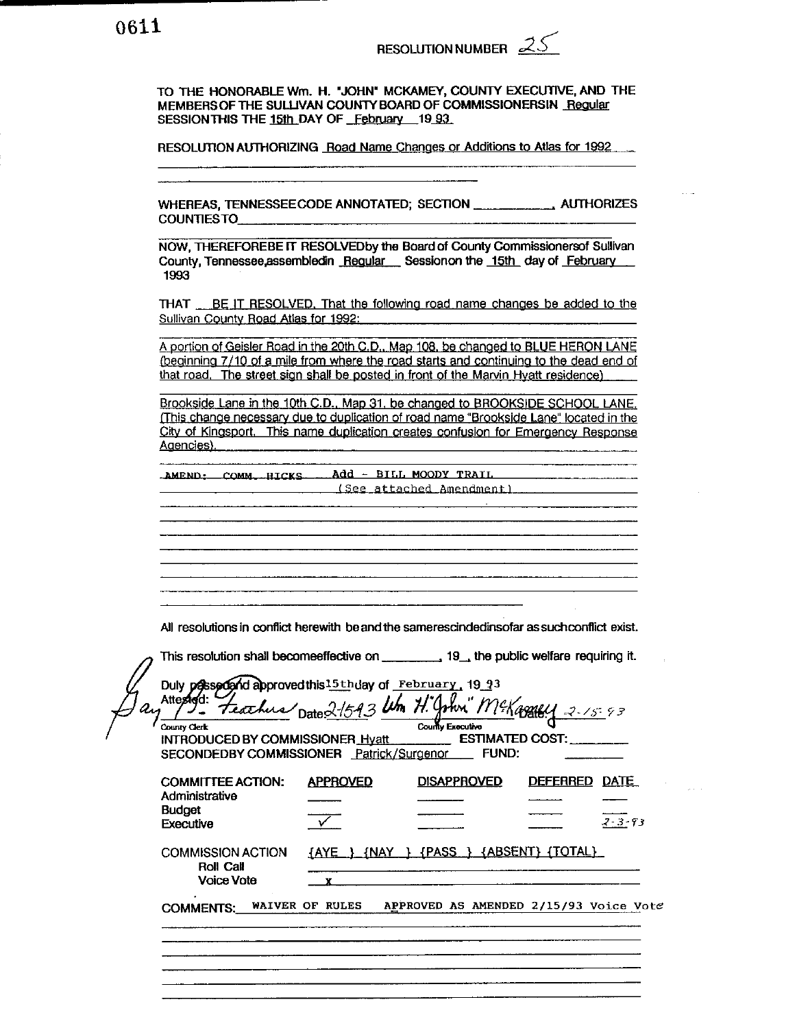TO THE HONORABLE Wm. H. "JOHN" MCKAMEY, COUNTY EXECUTIVE, AND THE MEMBERS OF THE SULLIVAN COUNTY BOARD OF COMMISSIONERSIN Regular SESSION THIS THE 15th DAY OF February 19 93

RESOLUTION AUTHORIZING Road Name Changes or Additions to Atlas for 1992

COUNTIESTO

NOW, THEREFOREBE IT RESOLVED by the Board of County Commissionersof Sullivan County, Tennessee, assembled in Regular Session on the 15th day of February 1993

THAT BE IT RESOLVED. That the following road name changes be added to the Sullivan County Road Atlas for 1992:

A portion of Geisler Road in the 20th C.D., Map 108, be changed to BLUE HERON LANE (beginning 7/10 of a mile from where the road starts and continuing to the dead end of that road. The street sign shall be posted in front of the Marvin Hyatt residence)

Brookside Lane in the 10th C.D., Map 31, be changed to BROOKSIDE SCHOOL LANE. (This change necessary due to duplication of road name "Brookside Lane" located in the City of Kingsport. This name duplication creates confusion for Emergency Response Agencies).

AMEND: COMM. HICKS Add - BILL MOODY TRAIL (See attached Amendment)

All resolutions in conflict herewith be and the samerescindedinsofar as such conflict exist.

<u> 1980 - Johann Stoff, deutscher Stoff, der Stoff, der Stoff, der Stoff, der Stoff, der Stoff, der Stoff, der S</u>

| Duly possedand approved this 15th day of February, 19 93<br>Attestad:<br>County Clerk<br>INTRODUCED BY COMMISSIONER Hyatt ESTIMATED COST:<br>SECONDEDBY COMMISSIONER Patrick/Surgenor FUND: |                 | Feather Date 21543 Um H. John McKassey 2-15-93<br>County Executive |                                                                  |
|---------------------------------------------------------------------------------------------------------------------------------------------------------------------------------------------|-----------------|--------------------------------------------------------------------|------------------------------------------------------------------|
| <b>COMMITTEE ACTION:</b><br>Administrative<br><b>Budget</b><br>Executive                                                                                                                    | <b>APPROVED</b> | <b>DISAPPROVED</b>                                                 | DEFERRED DATE<br>$2 - 3 - 93$                                    |
| <b>COMMISSION ACTION</b><br><b>Roll Call</b><br><b>Voice Vote</b>                                                                                                                           |                 | {AYE } {NAY } {PASS } {ABSENT} (TOTAL}                             |                                                                  |
|                                                                                                                                                                                             |                 |                                                                    | COMMENTS: WAIVER OF RULES APPROVED AS AMENDED 2/15/93 Voice Vote |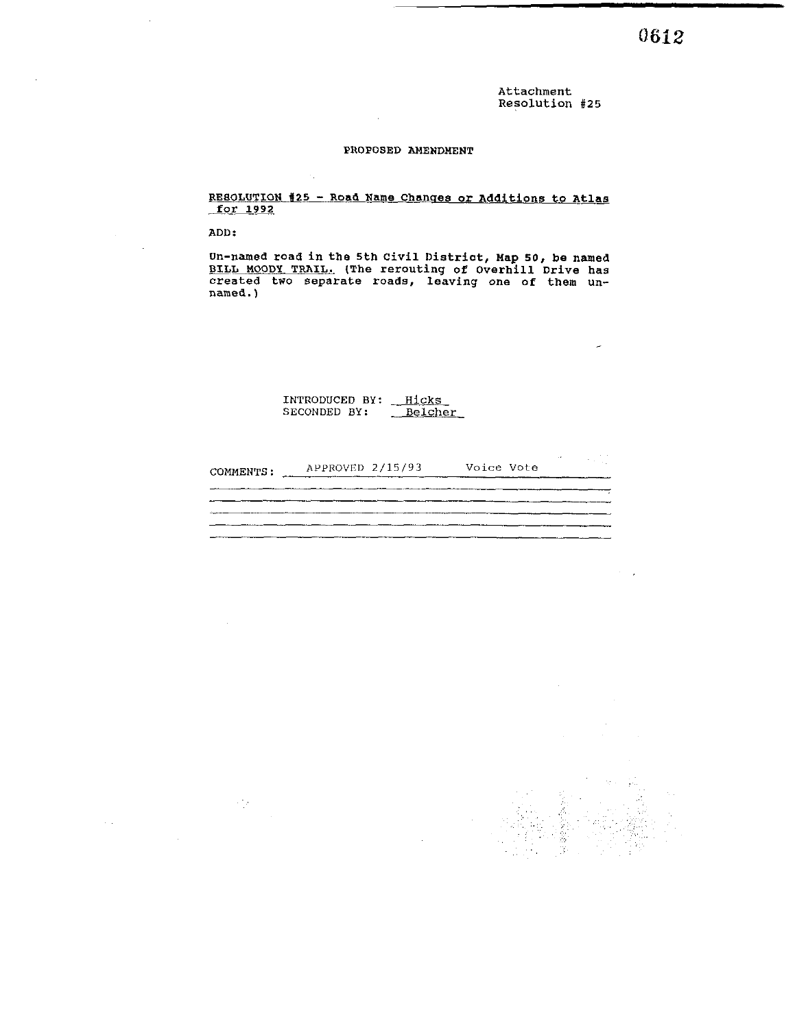**Attachment Resolution #25** 

#### **PROPOSED AMENDMENT**

 $\ddot{\phantom{a}}$ 

 $\lambda_{\rm{in}}$ 

#### **RESOLUTION <sup>625</sup>**- **Road Name Chanqes or Additions to Atlas for 1992**

**ADD** :

 $\sim$   $\epsilon_{\rm B}$ 

**Un-named road in the 5th Civil District, Map 50, be named**  BILL MOODY TRAIL. (The rerouting of Overhill Drive has **created two separate roads, leaving one of them unnamed.** )

> **INTRODUCED BY: Hicks SECONDED BY: Belcher**

| COMMENTS: | APPROVED 2/15/93 | Voice Vote |  |
|-----------|------------------|------------|--|
|           |                  |            |  |
|           |                  |            |  |
|           |                  |            |  |

 $\lambda = \frac{1}{2}$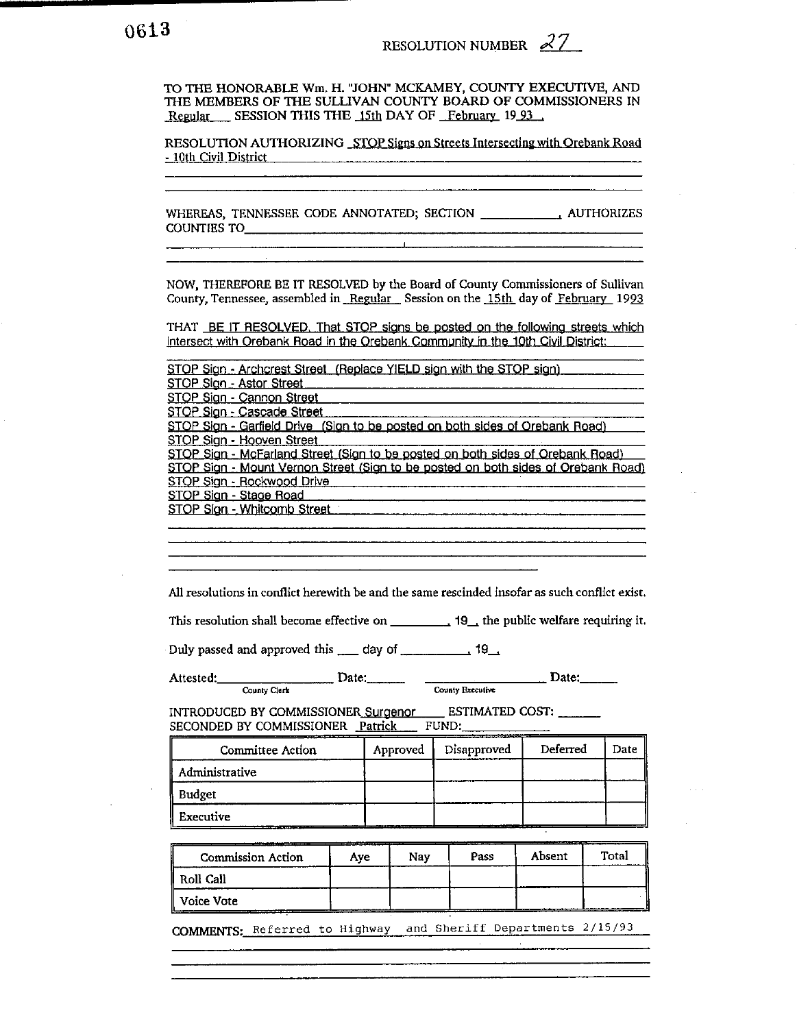TO THE HONORABLE Wm. H. "JOHN" MCKAMEY, COUNTY EXECUTIVE, AND THE MEMBERS OF THE SULLIVAN COUNTY BOARD OF COMMISSIONERS IN Regular SESSION THIS THE 15th DAY OF February 1993

RESOLUTION AUTHORIZING STOP Signs on Streets Intersecting with Orebank Road - 10th Civil District

WHEREAS, TENNESSEE CODE ANNOTATED; SECTION \_\_\_\_\_\_\_\_\_\_\_\_\_\_\_\_\_\_\_\_\_\_ AUTHORIZES 

<u> 1980 - Januari Alexandro de Arabia (j. 1900).</u>

NOW, THEREFORE BE IT RESOLVED by the Board of County Commissioners of Sullivan County, Tennessee, assembled in Regular Session on the 15th day of February 1993

THAT BE IT RESOLVED. That STOP signs be posted on the following streets which intersect with Orebank Road in the Orebank Community in the 10th Civil District:

|                                                                                                             | STOP Sign - Archcrest Street (Replace YIELD sign with the STOP sign) |  |            |             |          |       |      |
|-------------------------------------------------------------------------------------------------------------|----------------------------------------------------------------------|--|------------|-------------|----------|-------|------|
| STOP Sign - Astor Street                                                                                    |                                                                      |  |            |             |          |       |      |
| STOP Sign - Cannon Street                                                                                   |                                                                      |  |            |             |          |       |      |
| STOP Sign - Cascade Street                                                                                  |                                                                      |  |            |             |          |       |      |
| STOP Sign - Garfield Drive (Sign to be posted on both sides of Orebank Road)                                |                                                                      |  |            |             |          |       |      |
| STOP Sign - Hooven Street<br>STOP Sign - McFarland Street (Sign to be posted on both sides of Orebank Road) |                                                                      |  |            |             |          |       |      |
| STOP Sign - Mount Vernon Street (Sign to be posted on both sides of Orebank Road)                           |                                                                      |  |            |             |          |       |      |
| STOP Sign - Rockwood Drive                                                                                  |                                                                      |  |            |             |          |       |      |
| STOP Sign - Stage Road                                                                                      |                                                                      |  |            |             |          |       |      |
| STOP Sign - Whitcomb Street                                                                                 |                                                                      |  |            |             |          |       |      |
|                                                                                                             |                                                                      |  |            |             |          |       |      |
|                                                                                                             |                                                                      |  |            |             |          |       |      |
|                                                                                                             |                                                                      |  |            |             |          |       |      |
|                                                                                                             |                                                                      |  |            |             |          |       |      |
| All resolutions in conflict herewith be and the same rescinded insofar as such conflict exist.              |                                                                      |  |            |             |          |       |      |
|                                                                                                             |                                                                      |  |            |             |          |       |      |
|                                                                                                             |                                                                      |  |            |             |          |       |      |
|                                                                                                             |                                                                      |  |            |             |          |       |      |
| Attested: Date: Date:                                                                                       |                                                                      |  |            |             |          |       |      |
|                                                                                                             |                                                                      |  |            |             |          |       |      |
|                                                                                                             |                                                                      |  |            |             |          |       |      |
|                                                                                                             | INTRODUCED BY COMMISSIONER Surgenor ESTIMATED COST: _____            |  |            |             |          |       |      |
|                                                                                                             |                                                                      |  |            |             |          |       |      |
| SECONDED BY COMMISSIONER Patrick FUND:                                                                      |                                                                      |  |            |             |          |       |      |
| Committee Action                                                                                            |                                                                      |  | Approved   | Disapproved | Deferred |       | Date |
| Administrative                                                                                              |                                                                      |  |            |             |          |       |      |
| <b>Budget</b>                                                                                               |                                                                      |  |            |             |          |       |      |
| Executive                                                                                                   |                                                                      |  |            |             |          |       |      |
|                                                                                                             |                                                                      |  |            |             |          |       |      |
|                                                                                                             |                                                                      |  |            |             |          |       |      |
| Commission Action                                                                                           | Aye                                                                  |  | <b>Nay</b> | Pass        | Absent   | Total |      |
| Roll Call                                                                                                   |                                                                      |  |            |             |          |       |      |
| Voice Vote                                                                                                  |                                                                      |  |            |             |          |       |      |
|                                                                                                             |                                                                      |  |            |             |          |       |      |
| COMMENTS: Referred to Highway and Sheriff Departments 2/15/93                                               |                                                                      |  |            |             |          |       |      |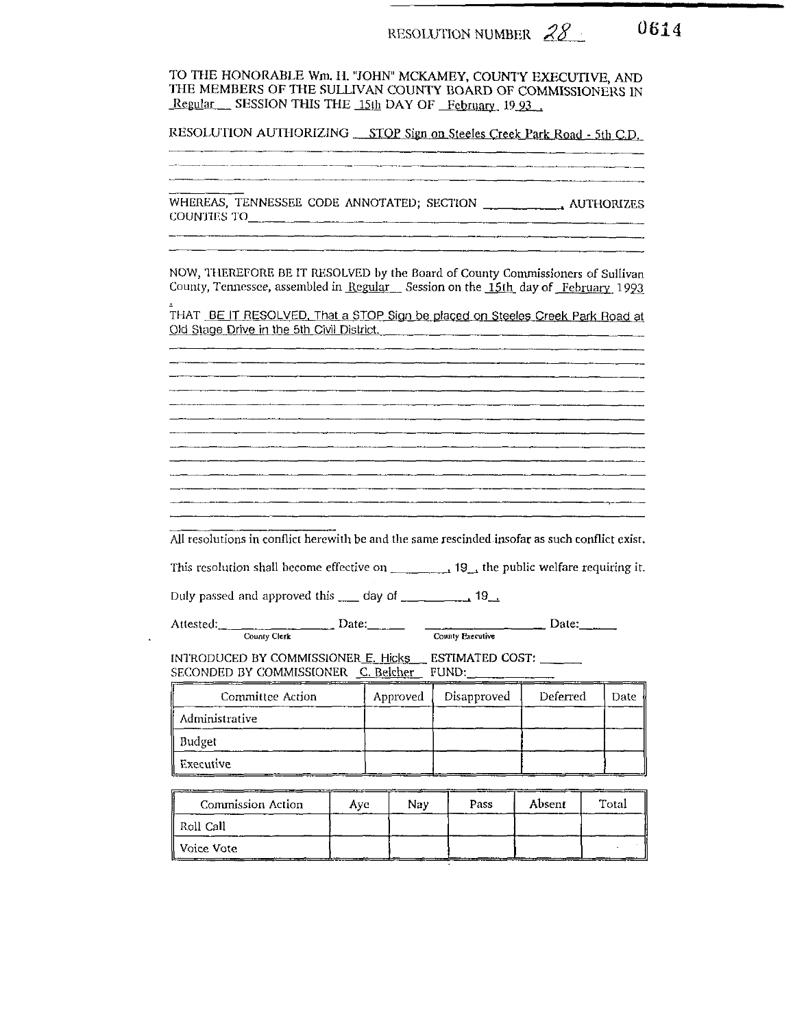TO THE HONORABLE Wm. H. "JOHN" MCKAMEY, COUNTY EXECUTIVE. AND THE MEMBERS OF THE SULLIVAN COUNTY BOARD OF COMMISSIONERS IN Regular SESSION THIS THE 15th DAY OF February 1993

RESOLUTION AUTHORIZING STOP Sign on Steeles Creek Park Road - 5th C.D.

<u> 1940 - Jan Andrea Andrewski, martin amerikan (h. 1908).</u> ▁<br><del>▗▖▖▁▗▗▗▖▖▁▁▗</del>▖▖▁▃▗▖▖▁▗▖▖▖▔▔▔▖▖▔▔▖▖▔▔▖▖▁▔▘▖▁▔▘▎▔▔▏▎

<br>▃▄▖▓▖▎▃▃▀▕▝▗▖▖▖▃▄▀▝▚▚▗▃▄▞▀▚▎▙▄▄▖▖▀▚▚▄▄▄▄▖▚▚▚▄▄▄▖▖<sub>▞</sub>▖▃▄▃▖▖▖▖▖▄▗▃▃▗▁▖▖▖▞▖▖▃▃▃▃▄▄▖▃▃▃▖▃▖▖▃▖▃▖▃▖▃▖▃▖<sub>▞▖</sub>▃▃ 

COUNTIES TO

NOW, THEREFORE BE IT RESOLVED by the Board of County Commissioners of Sullivan County, Tennessee, assembled in Regular Session on the 15th day of February 1993

THAT BE IT RESOLVED. That a STOP Sign be placed on Steeles Creek Park Road at Old Stage Drive in the 5th Civil District.

All resolutions in conflict herewith be and the same rescinded insofar as such conflict exist.

This resolution shall become effective on  $\frac{1}{2}$  19  $\frac{1}{2}$  the public welfare requiring it.

Duly passed and approved this \_\_\_ day of \_\_\_\_\_\_\_\_\_\_\_ 19\_.

Attested: County Clerk Date: Date: County Executive Date:

INTRODUCED BY COMMISSIONER E. Hicks ESTIMATED COST:

<u> 1980 - Andrea Samhair, ann an t-Aonaichte ann an t-Aonaichte ann an t-Aonaichte ann an t-Aonaichte ann an t-Ao</u>

| Committee Action | Approved | Disapproved | Deferred | Date |
|------------------|----------|-------------|----------|------|
| Administrative   |          |             |          |      |
| Budget           |          |             |          |      |
| Executive        |          |             |          |      |

| <b>Commission Action</b> | Ave | Nav | <b>Pass</b> | Absent | Total |
|--------------------------|-----|-----|-------------|--------|-------|
| Roll Call                |     |     |             |        |       |
| ll Voice Vote :          |     |     |             |        |       |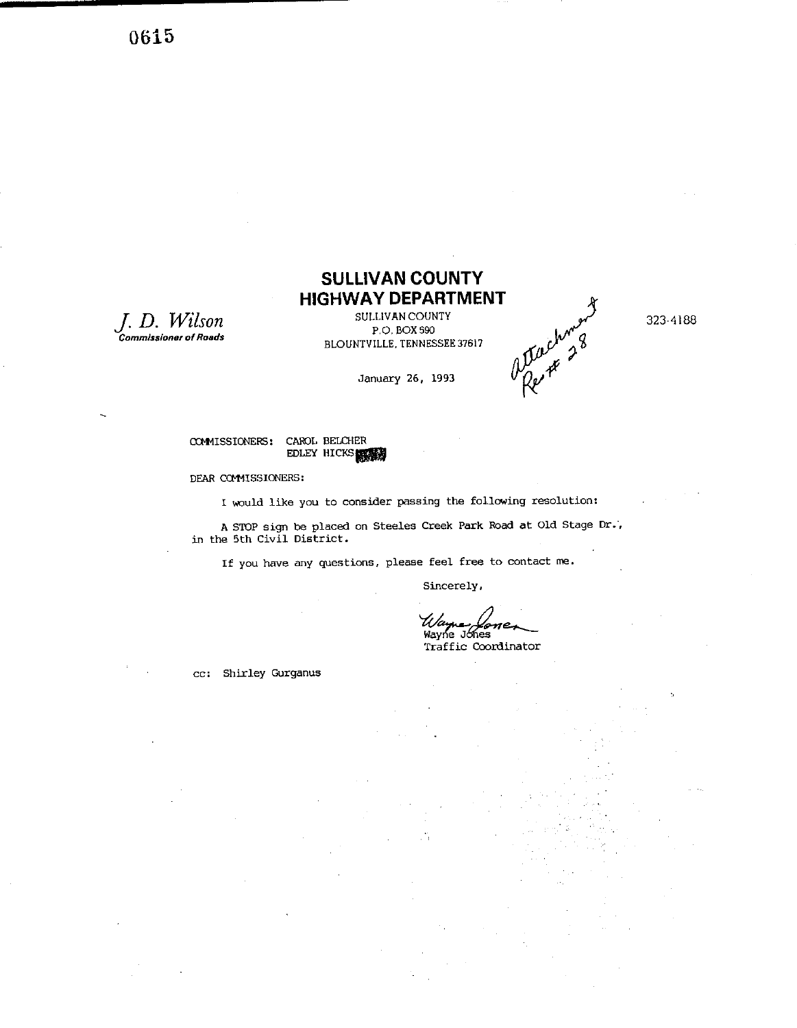0615

*J.* **D.** *Wilson*  **Commissioner of Roads** 

# **SULLIVAN COUNTY HIGHWAY DEPARTMENT**

P.O. BOX 590 BLOUNTVILLE. TENNESSEE37617

**January 26, 1993** 

Suchment 323-4188

**mISSIONEF5: CAR3L BELCHER** 

EDLEY HICKS

#### **DEAR CCEMISSIONERS:**

**I would like you to consider passing the following resolution:** 

**A STOP sign be placed on Steeles Creek** Park **Road at** Old **Stage Dr., in the 5th Civil District.** 

**If you have any questions, please feel free to contact me.** 

**Sincerely,** 

Wayne Jones<br>
Traffic Coordinator

**cc: Shirley Gurganus**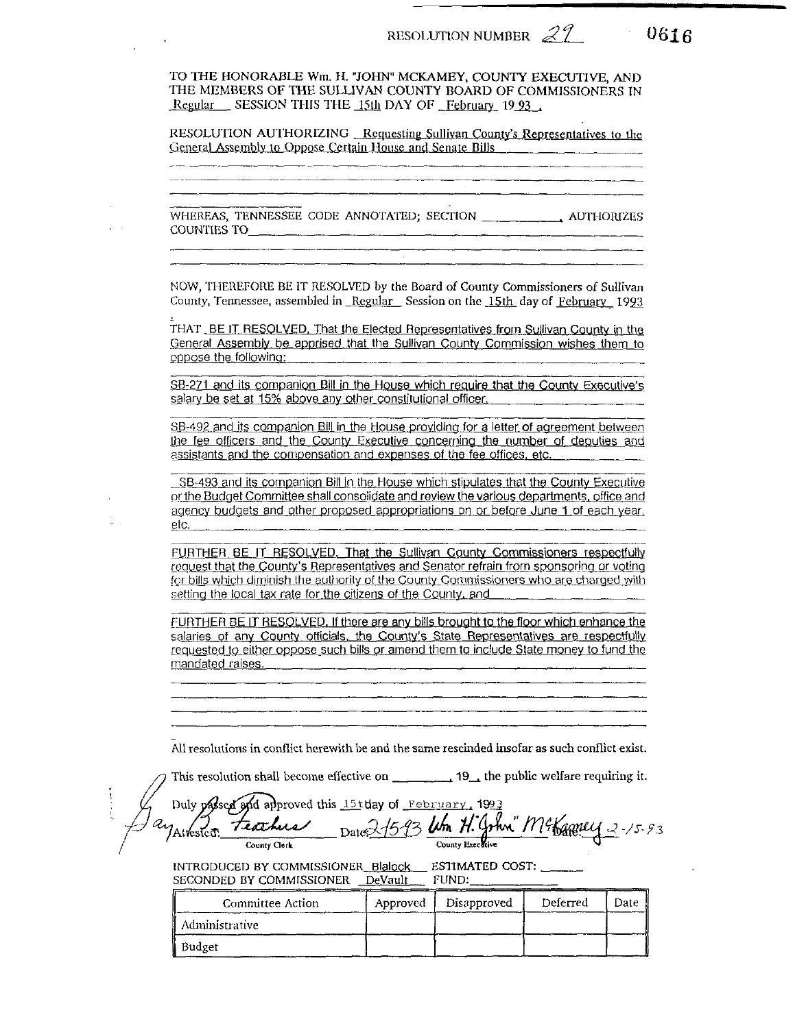$0616$ 

TO THE HONORABLE Wm. H. "JOHN" MCKAMEY, COUNTY EXECUTIVE, AND THE MEMBERS OF THE SULLIVAN COUNTY BOARD OF COMMISSIONERS IN Regular SESSION THIS THE 15th DAY OF February 19.93

RESOLUTION AUTHORIZING Requesting Sullivan County's Representatives to the General Assembly to Oppose Certain House and Senate Bills

NOW, THEREFORE BE IT RESOLVED by the Board of County Commissioners of Sullivan County, Tennessee, assembled in Regular Session on the 15th day of February 1993

THAT BE IT RESOLVED. That the Elected Representatives from Sullivan County in the General Assembly be apprised that the Sullivan County Commission wishes them to oppose the following:

SB-271 and its companion Bill in the House which require that the County Executive's salary be set at 15% above any other constitutional officer.

SB-492 and its companion Bill in the House providing for a letter of agreement between the fee officers and the County Executive concerning the number of deputies and assistants and the compensation and expenses of the fee offices, etc.

SB-493 and its companion Bill in the House which stipulates that the County Executive or the Budget Committee shall consolidate and review the various departments, office and agency budgets and other proposed appropriations on or before June 1 of each year. etc.

FURTHER BE IT RESOLVED. That the Sullivan County Commissioners respectfully request that the County's Representatives and Senator refrain from sponsoring or voting for bills which diminish the authority of the County Commissioners who are charged with setting the local tax rate for the citizens of the County, and

FURTHER BE IT RESOLVED, If there are any bills brought to the floor which enhance the salaries of any County officials, the County's State Representatives are respectfully requested to either oppose such bills or amend them to include State money to fund the  $m$ andated raises.  $\frac{1}{2}$   $\frac{1}{2}$   $\frac{1}{2}$   $\frac{1}{2}$   $\frac{1}{2}$   $\frac{1}{2}$   $\frac{1}{2}$   $\frac{1}{2}$   $\frac{1}{2}$   $\frac{1}{2}$   $\frac{1}{2}$   $\frac{1}{2}$   $\frac{1}{2}$   $\frac{1}{2}$   $\frac{1}{2}$   $\frac{1}{2}$   $\frac{1}{2}$   $\frac{1}{2}$   $\frac{1}{2}$   $\frac{1}{2}$   $\$ 

All resolutions in conflict herewith be and the same rescinded insofar as such conflict exist.

This resolution shall become effective on \_\_\_\_\_\_\_\_\_\_\_\_\_ 19\_\_\_ the public welfare requiring it.

|              | Jay passed and approved this 15t day of February, 1993<br>Jay Attested: Teachers pate 2/593 Um H. Gohn" McKamey 2-15-93 |  |
|--------------|-------------------------------------------------------------------------------------------------------------------------|--|
| County Clerk | County Executive                                                                                                        |  |

INTRODUCED BY COMMISSIONER\_Blalock\_\_\_ ESTIMATED COST: \_\_\_\_\_\_ SECONDED BY COMMISSIONER DeVault FUND:

| Committee Action | Approved | Disapproved | Deferred | Date |
|------------------|----------|-------------|----------|------|
| Administrative   |          |             |          |      |
| Budget           |          |             |          |      |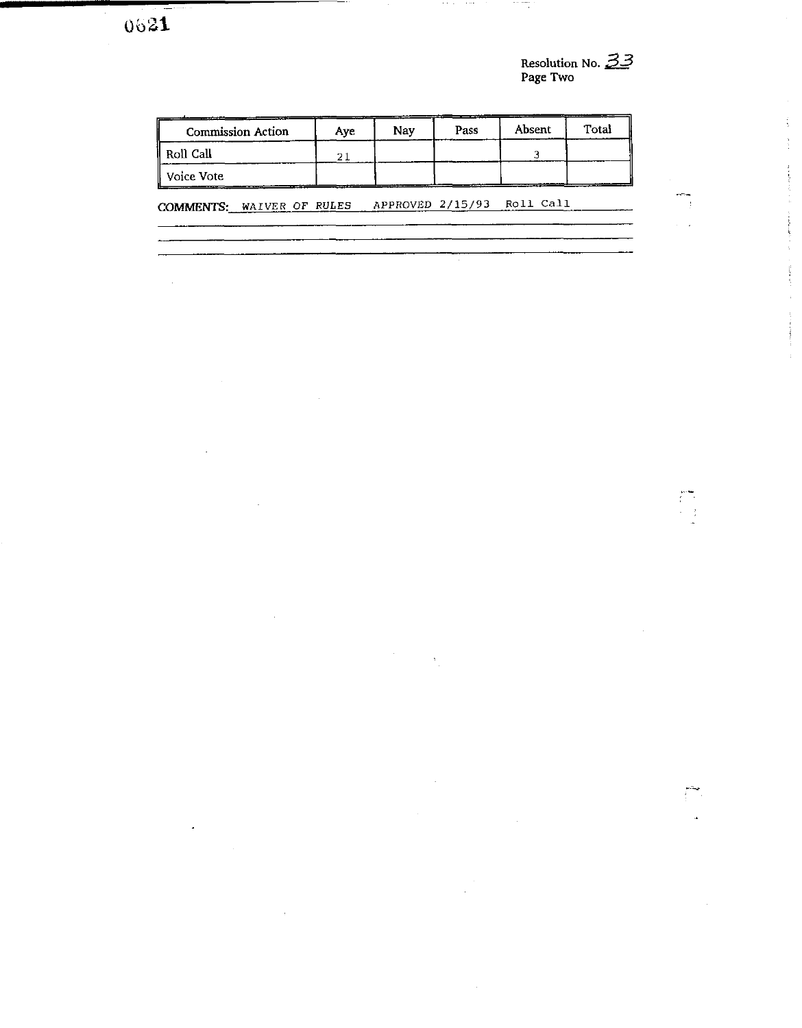J.

l,

 $\overline{\phantom{a}}$ 

**Resolution** No. **33 Page Two** 

- -

 $\begin{array}{c} \overline{1} \\ \overline{1} \\ \overline{1} \\ \overline{1} \\ \overline{2} \end{array}$ 

 $\int_{0}^{\frac{1}{2}}\frac{dx}{x}$ 

 $\frac{1}{2}$  ,  $\frac{1}{2}$  ,  $\frac{1}{2}$  , and<br>  $\frac{1}{2}$  ,  $\frac{1}{2}$  ,  $\frac{1}{2}$  ,<br>  $\frac{1}{2}$  ,  $\frac{1}{2}$  ,

 $\sim 10^{10}$  m  $\sim 10^{10}$  m  $^{-1}$ 

| <b>Commission Action</b>  | Ave | Nav              | Pass | Absent    | Total |
|---------------------------|-----|------------------|------|-----------|-------|
| Roll Call                 | 21  |                  |      |           |       |
| Voice Vote                |     |                  |      |           |       |
| COMMENTS: WAIVER OF RULES |     | APPROVED 2/15/93 |      | Roll Call |       |

 $\bar{z}$ 

 $\bar{z}$ 

 $\mathcal{O}(n^2)$  and  $\mathcal{O}(n^2)$  and  $\mathcal{O}(n^2)$  .

an sep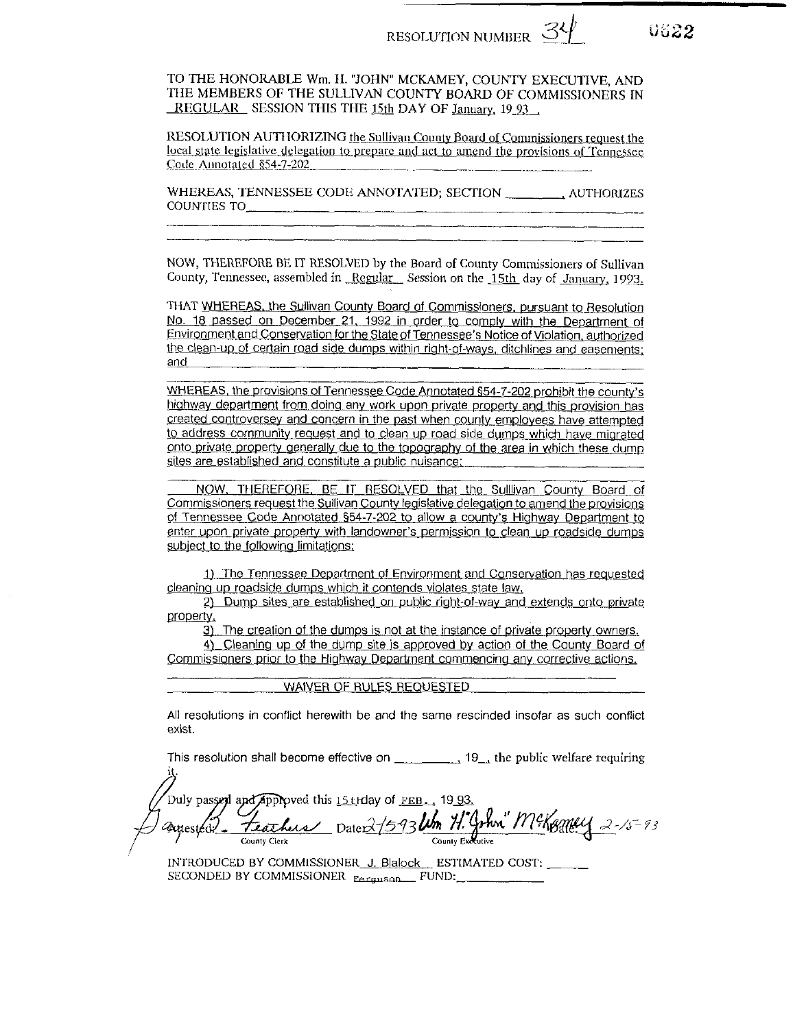0622

TO THE HONORABLE Wm. H. "JOHN" MCKAMEY, COUNTY EXECUTIVE, AND THE MEMBERS OF THE SULLIVAN COUNTY BOARD OF COMMISSIONERS IN REGULAR SESSION THIS THE 15th DAY OF January, 19 93

RESOLUTION AUTHORIZING the Sullivan County Board of Commissioners request the local state legislative delegation to prepare and act to amend the provisions of Tennessee Code Annotated §54-7-202

WHEREAS, TENNESSEE CODE ANNOTATED; SECTION \_\_\_\_\_\_\_, AUTHORIZES COUNTIES TO

NOW, THEREFORE BE IT RESOLVED by the Board of County Commissioners of Sullivan County, Tennessee, assembled in Regular Session on the 15th day of January, 1993.

THAT WHEREAS, the Sullivan County Board of Commissioners, pursuant to Resolution No. 18 passed on December 21, 1992 in order to comply with the Department of Environment and Conservation for the State of Tennessee's Notice of Violation, authorized the clean-up of certain road side dumps within right-of-ways, ditchlines and easements: and

WHEREAS, the provisions of Tennessee Code Annotated §54-7-202 prohibit the county's highway department from doing any work upon private property and this provision has created controversey and concern in the past when county employees have attempted to address community request and to clean up road side dumps which have migrated onto private property generally due to the topography of the area in which these dump sites are established and constitute a public nuisance;

NOW, THEREFORE, BE IT RESOLVED that the Sullivan County Board of Commissioners request the Sullivan County legislative delegation to amend the provisions of Tennessee Code Annotated \$54-7-202 to allow a county's Highway Department to enter upon private property with landowner's permission to clean up roadside dumps subject to the following limitations:

1) The Tennessee Department of Environment and Conservation has requested cleaning up roadside dumps which it contends violates state law.

2) Dump sites are established on public right-of-way and extends onto private property.

3) The creation of the dumps is not at the instance of private property owners.

4) Cleaning up of the dump site is approved by action of the County Board of Commissioners prior to the Highway Department commencing any corrective actions.

|  | WAIVER OF RULES REQUESTED |  |
|--|---------------------------|--|
|  |                           |  |

All resolutions in conflict herewith be and the same rescinded insofar as such conflict exist.

This resolution shall become effective on  $\frac{1}{2}$  19<sub>4</sub> the public welfare requiring

Duly passed and approved this 15 trday of <u>FEB., 1993.</u><br>2010 ested - TearLus Date: 2/5-93 Um H. Gohn M. Kamey 2-15-93 *P*ayested!

INTRODUCED BY COMMISSIONER J. Blalock ESTIMATED COST: SECONDED BY COMMISSIONER Eerguson FUND: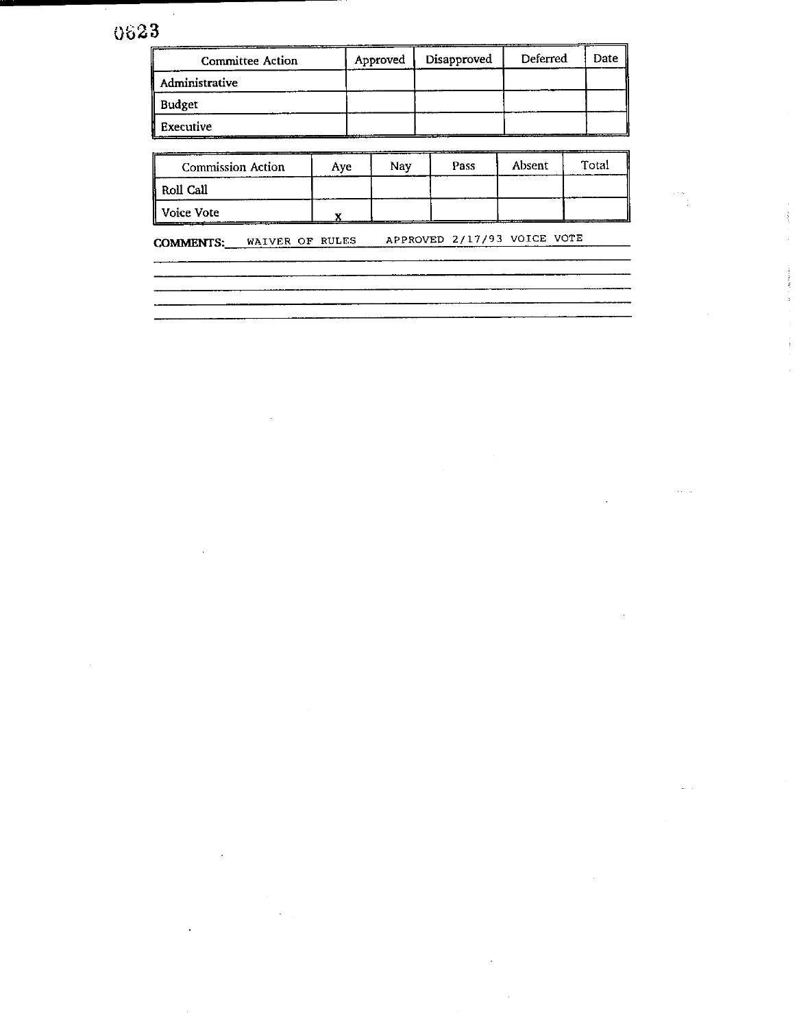# 0623

| <b>Committee Action</b> | Approved | Disapproved | Deferred | Date |
|-------------------------|----------|-------------|----------|------|
| Administrative          |          |             |          |      |
| Budget                  |          |             |          |      |
| Executive               |          |             |          |      |

| <b>Commission Action</b> | Ave | Nav | Pass | Absent | Total |
|--------------------------|-----|-----|------|--------|-------|
| Roll Call                |     |     |      |        |       |
| Voice Vote               |     |     |      |        |       |

**COMMENTS: WAIVER OF RULES APPROVED 2/17/93 VOICE VOTE**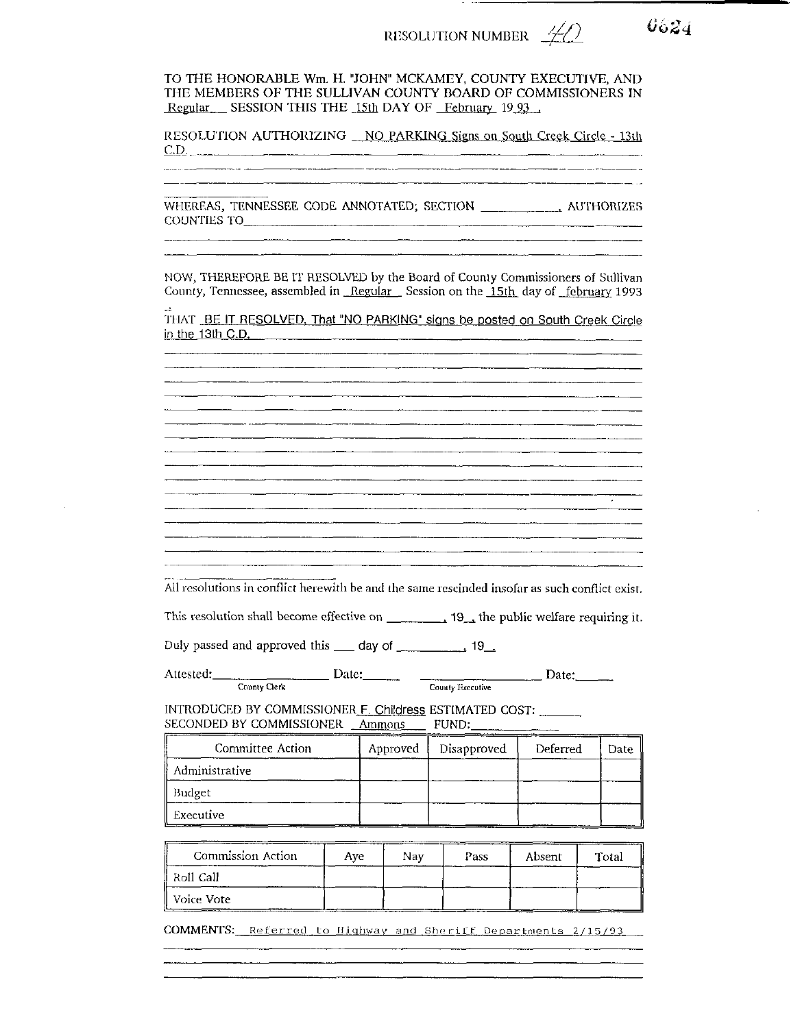## RESOLUTION NUMBER  $\frac{\mathcal{H}}{\mathcal{L}}$

TO THE HONORABLE Wm. H. "JOHN" MCKAMEY, COUNTY EXECUTIVE, AND THE MEMBERS OF THE SULLIVAN COUNTY BOARD OF COMMISSIONERS IN Regular SESSION THIS THE 15th DAY OF February 19.93

RESOLUTION AUTHORIZING NO PARKING Signs on South Creek Circle - 13th  $C.D.$ 

WHEREAS, TENNESSEE CODE ANNOTATED; SECTION \_\_\_\_\_\_\_\_\_\_\_\_\_\_ AUTHORIZES COUNTIES TO

NOW, THEREFORE BE IT RESOLVED by the Board of County Commissioners of Sullivan County, Tennessee, assembled in Regular Session on the 15th day of february 1993

THAT BE IT RESOLVED, That "NO PARKING" signs be posted on South Creek Circle in the 13th C.D. The contract of the contract of the contract of the contract of the contract of the contract of the contract of the contract of the contract of the contract of the contract of the contract of the contract

<u> 1980 - Jan James James Barnett, amerikan berketara dalam pengaran berketaran pengaran pengaran pengaran penga</u> 

All resolutions in conflict herewith be and the same rescinded insofar as such conflict exist.

This resolution shall become effective on  $\frac{1}{\sqrt{1-\frac{1}{2}}}$  the public welfare requiring it.

<u> 1980 - Jan James Salam Barat (</u>

Date: Date: Date: Date: Attested: County Clerk

INTRODUCED BY COMMISSIONER F. Childress ESTIMATED COST: SECONDED BY COMMISSIONER Annous FUND:

| Committee Action | Approved | Disapproved | Deferred | Date II |
|------------------|----------|-------------|----------|---------|
| Administrative   |          |             |          |         |
| Budget           |          |             |          |         |
| Executive<br>___ |          |             |          |         |

| Commission Action | Ave | Nav | Pass | Absent | Total |
|-------------------|-----|-----|------|--------|-------|
| - Roll Call       |     |     |      |        |       |
| Voice Vote        |     |     |      |        |       |

COMMENTS: Referred to Highway and Sheriff Departments 2/15/93